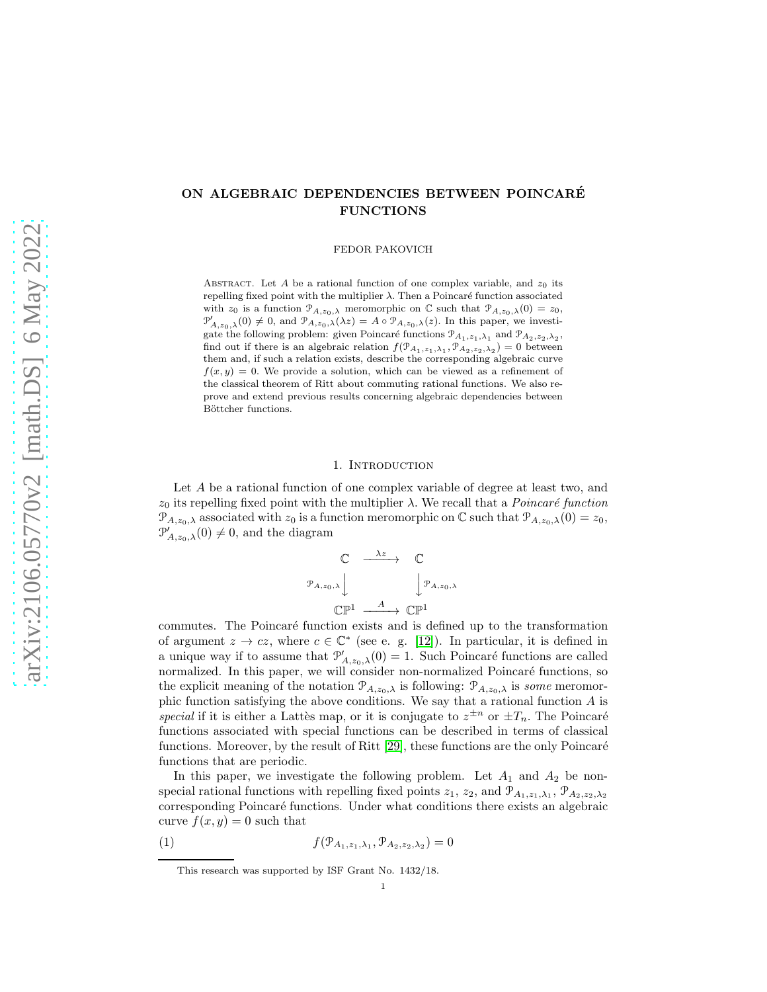# ON ALGEBRAIC DEPENDENCIES BETWEEN POINCARE´ FUNCTIONS

FEDOR PAKOVICH

ABSTRACT. Let  $A$  be a rational function of one complex variable, and  $z_0$  its repelling fixed point with the multiplier  $\lambda$ . Then a Poincaré function associated with  $z_0$  is a function  $\mathcal{P}_{A,z_0,\lambda}$  meromorphic on C such that  $\mathcal{P}_{A,z_0,\lambda}(0) = z_0$ ,  $\mathcal{P}'_{A,z_0,\lambda}(0) \neq 0$ , and  $\mathcal{P}_{A,z_0,\lambda}(\lambda z) = A \circ \mathcal{P}_{A,z_0,\lambda}(z)$ . In this paper, we investigate the following problem: given Poincaré functions  $\mathcal{P}_{A_1,z_1,\lambda_1}$  and  $\mathcal{P}_{A_2,z_2,\lambda_2}$ , find out if there is an algebraic relation  $f(\mathcal{P}_{A_1,z_1,\lambda_1}, \mathcal{P}_{A_2,z_2,\lambda_2}) = 0$  between them and, if such a relation exists, describe the corresponding algebraic curve  $f(x, y) = 0$ . We provide a solution, which can be viewed as a refinement of the classical theorem of Ritt about commuting rational functions. We also reprove and extend previous results concerning algebraic dependencies between Böttcher functions.

## 1. Introduction

Let A be a rational function of one complex variable of degree at least two, and  $z_0$  its repelling fixed point with the multiplier  $\lambda$ . We recall that a *Poincaré function*  $\mathcal{P}_{A,z_0,\lambda}$  associated with  $z_0$  is a function meromorphic on  $\mathbb C$  such that  $\mathcal{P}_{A,z_0,\lambda}(0) = z_0$ ,  $\mathcal{P}'_{A,z_0,\lambda}(0) \neq 0$ , and the diagram

$$
\begin{array}{ccc}\n\mathbb{C} & \xrightarrow{\lambda z} & \mathbb{C} \\
\downarrow_{A,z_0,\lambda} & & \downarrow_{A,z_0,\lambda} \\
\mathbb{C}\mathbb{P}^1 & \xrightarrow{A} & \mathbb{C}\mathbb{P}^1\n\end{array}
$$

commutes. The Poincaré function exists and is defined up to the transformation of argument  $z \to cz$ , where  $c \in \mathbb{C}^*$  (see e. g. [\[12\]](#page-17-0)). In particular, it is defined in a unique way if to assume that  $\mathcal{P}'_{A,z_0,\lambda}(0) = 1$ . Such Poincaré functions are called normalized. In this paper, we will consider non-normalized Poincaré functions, so the explicit meaning of the notation  $\mathcal{P}_{A,z_0,\lambda}$  is following:  $\mathcal{P}_{A,z_0,\lambda}$  is some meromorphic function satisfying the above conditions. We say that a rational function A is special if it is either a Lattes map, or it is conjugate to  $z^{\pm n}$  or  $\pm T_n$ . The Poincaré functions associated with special functions can be described in terms of classical functions. Moreover, by the result of Ritt  $[29]$ , these functions are the only Poincaré functions that are periodic.

In this paper, we investigate the following problem. Let  $A_1$  and  $A_2$  be nonspecial rational functions with repelling fixed points  $z_1$ ,  $z_2$ , and  $\mathcal{P}_{A_1,z_1,\lambda_1}$ ,  $\mathcal{P}_{A_2,z_2,\lambda_2}$ corresponding Poincaré functions. Under what conditions there exists an algebraic curve  $f(x, y) = 0$  such that

<span id="page-0-0"></span>(1) 
$$
f(\mathcal{P}_{A_1,z_1,\lambda_1}, \mathcal{P}_{A_2,z_2,\lambda_2}) = 0
$$

 $\mathcal{P}$ 

This research was supported by ISF Grant No. 1432/18.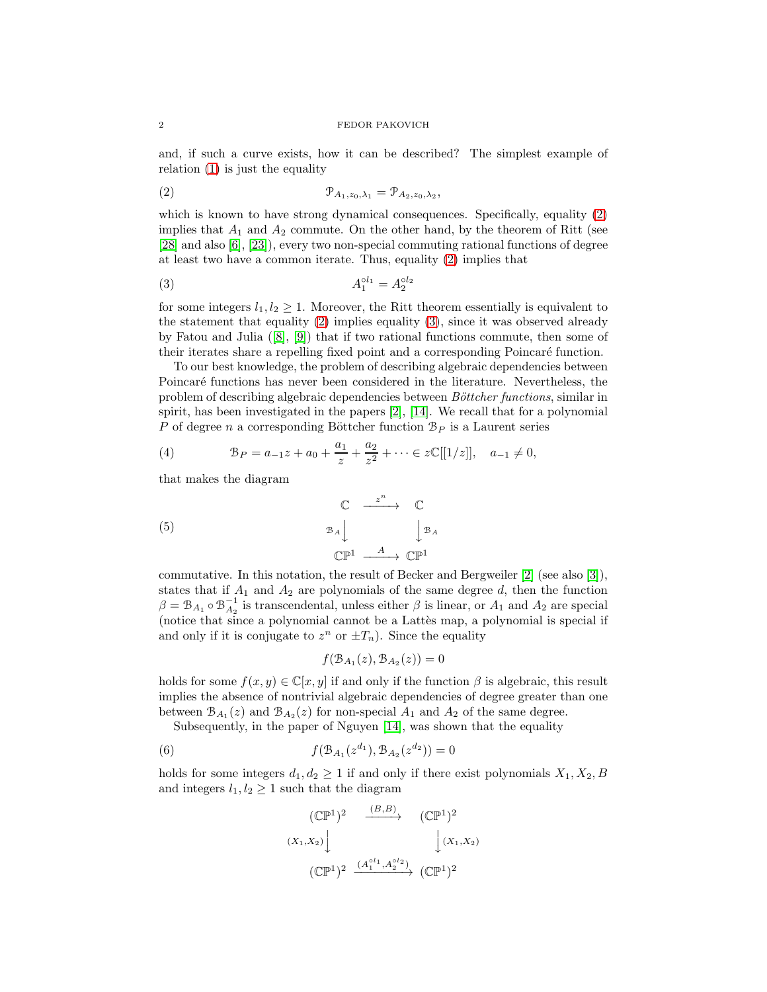and, if such a curve exists, how it can be described? The simplest example of relation [\(1\)](#page-0-0) is just the equality

<span id="page-1-0"></span>
$$
(\mathbf{2}) \qquad \qquad \mathbf{P}_{A_1, z_0, \lambda_1} = \mathbf{P}_{A_2, z_0, \lambda_2},
$$

which is known to have strong dynamical consequences. Specifically, equality [\(2\)](#page-1-0) implies that  $A_1$  and  $A_2$  commute. On the other hand, by the theorem of Ritt (see [\[28\]](#page-18-1) and also [\[6\]](#page-17-1), [\[23\]](#page-18-2)), every two non-special commuting rational functions of degree at least two have a common iterate. Thus, equality [\(2\)](#page-1-0) implies that

<span id="page-1-1"></span>
$$
(3) \t A_1^{ol_1} = A_2^{ol_2}
$$

for some integers  $l_1, l_2 \geq 1$ . Moreover, the Ritt theorem essentially is equivalent to the statement that equality [\(2\)](#page-1-0) implies equality [\(3\)](#page-1-1), since it was observed already by Fatou and Julia ([\[8\]](#page-17-2), [\[9\]](#page-17-3)) that if two rational functions commute, then some of their iterates share a repelling fixed point and a corresponding Poincaré function.

To our best knowledge, the problem of describing algebraic dependencies between Poincaré functions has never been considered in the literature. Nevertheless, the problem of describing algebraic dependencies between *Böttcher functions*, similar in spirit, has been investigated in the papers [\[2\]](#page-17-4), [\[14\]](#page-17-5). We recall that for a polynomial P of degree n a corresponding Böttcher function  $B<sub>P</sub>$  is a Laurent series

<span id="page-1-3"></span>(4) 
$$
\mathcal{B}_P = a_{-1}z + a_0 + \frac{a_1}{z} + \frac{a_2}{z^2} + \cdots \in z\mathbb{C}[[1/z]], \quad a_{-1} \neq 0,
$$

that makes the diagram

<span id="page-1-4"></span>(5) 
$$
\begin{array}{ccc}\n\mathbb{C} & \xrightarrow{\cdot} & \mathbb{C} \\
\mathbb{B}_A \downarrow & & \downarrow \mathbb{B}_A \\
\mathbb{C}\mathbb{P}^1 & \xrightarrow{A} & \mathbb{C}\mathbb{P}^1\n\end{array}
$$

commutative. In this notation, the result of Becker and Bergweiler [\[2\]](#page-17-4) (see also [\[3\]](#page-17-6)), states that if  $A_1$  and  $A_2$  are polynomials of the same degree d, then the function  $\beta = \mathcal{B}_{A_1} \circ \mathcal{B}_{A_2}^{-1}$  is transcendental, unless either  $\beta$  is linear, or  $A_1$  and  $A_2$  are special (notice that since a polynomial cannot be a Lattes map, a polynomial is special if and only if it is conjugate to  $z^n$  or  $\pm T_n$ ). Since the equality

$$
f(\mathcal{B}_{A_1}(z), \mathcal{B}_{A_2}(z)) = 0
$$

holds for some  $f(x, y) \in \mathbb{C}[x, y]$  if and only if the function  $\beta$  is algebraic, this result implies the absence of nontrivial algebraic dependencies of degree greater than one between  $\mathcal{B}_{A_1}(z)$  and  $\mathcal{B}_{A_2}(z)$  for non-special  $A_1$  and  $A_2$  of the same degree.

Subsequently, in the paper of Nguyen [\[14\]](#page-17-5), was shown that the equality

<span id="page-1-2"></span>(6) 
$$
f(\mathcal{B}_{A_1}(z^{d_1}), \mathcal{B}_{A_2}(z^{d_2})) = 0
$$

holds for some integers  $d_1, d_2 \geq 1$  if and only if there exist polynomials  $X_1, X_2, B$ and integers  $l_1, l_2 \geq 1$  such that the diagram

$$
(\mathbb{CP}^1)^2 \xrightarrow{(B,B)} (\mathbb{CP}^1)^2
$$
  

$$
(X_1, X_2) \downarrow \qquad \qquad (\mathbb{CP}^1)^2
$$
  

$$
(\mathbb{CP}^1)^2 \xrightarrow{(A_1^{o1_1}, A_2^{o1_2})} (\mathbb{CP}^1)^2
$$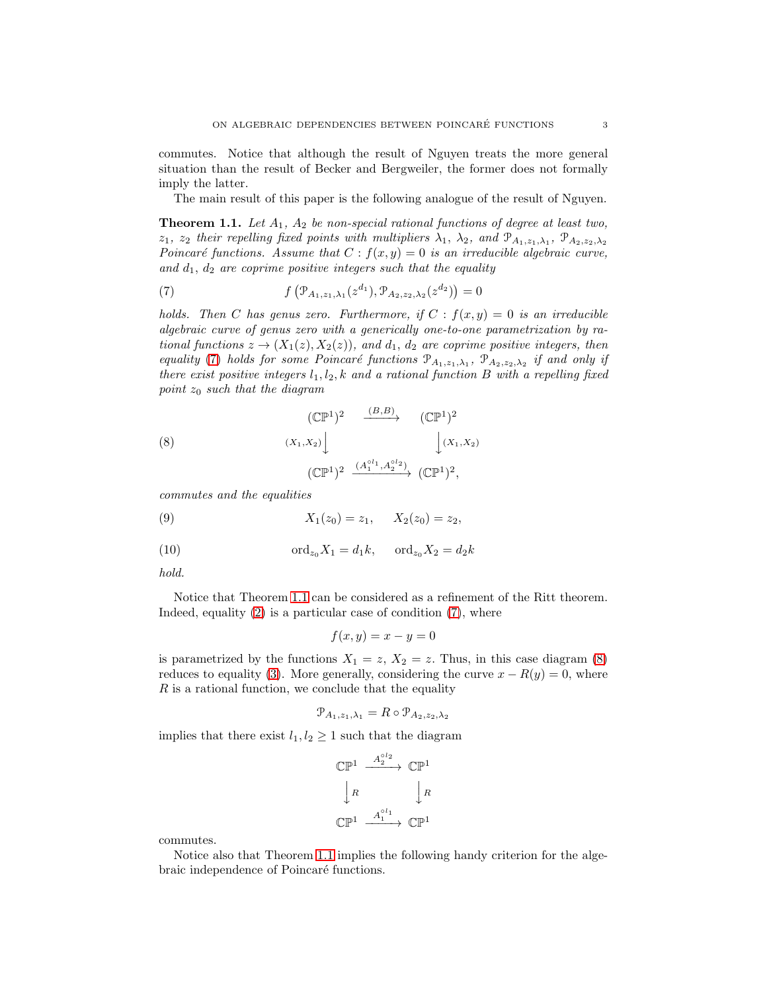commutes. Notice that although the result of Nguyen treats the more general situation than the result of Becker and Bergweiler, the former does not formally imply the latter.

The main result of this paper is the following analogue of the result of Nguyen.

<span id="page-2-1"></span>**Theorem 1.1.** Let  $A_1$ ,  $A_2$  be non-special rational functions of degree at least two,  $z_1$ ,  $z_2$  their repelling fixed points with multipliers  $\lambda_1$ ,  $\lambda_2$ , and  $\mathcal{P}_{A_1,z_1,\lambda_1}$ ,  $\mathcal{P}_{A_2,z_2,\lambda_2}$ Poincaré functions. Assume that  $C : f(x, y) = 0$  is an irreducible algebraic curve, and  $d_1$ ,  $d_2$  are coprime positive integers such that the equality

<span id="page-2-0"></span>(7) 
$$
f\left(\mathcal{P}_{A_1,z_1,\lambda_1}(z^{d_1}),\mathcal{P}_{A_2,z_2,\lambda_2}(z^{d_2})\right)=0
$$

holds. Then C has genus zero. Furthermore, if  $C : f(x, y) = 0$  is an irreducible algebraic curve of genus zero with a generically one-to-one parametrization by rational functions  $z \to (X_1(z), X_2(z))$ , and  $d_1, d_2$  are coprime positive integers, then equality [\(7\)](#page-2-0) holds for some Poincaré functions  $\mathcal{P}_{A_1,z_1,\lambda_1}$ ,  $\mathcal{P}_{A_2,z_2,\lambda_2}$  if and only if there exist positive integers  $l_1, l_2, k$  and a rational function B with a repelling fixed point  $z_0$  such that the diagram

<span id="page-2-2"></span>(8) 
$$
\begin{array}{ccc}\n(\mathbb{CP}^1)^2 & \xrightarrow{(B,B)} & (\mathbb{CP}^1)^2 \\
\downarrow (X_1, X_2) & & \downarrow (X_1, X_2) \\
(\mathbb{CP}^1)^2 & \xrightarrow{(A_1^{\circ l_1}, A_2^{\circ l_2})} (\mathbb{CP}^1)^2,\n\end{array}
$$

commutes and the equalities

<span id="page-2-3"></span>(9) 
$$
X_1(z_0) = z_1, \quad X_2(z_0) = z_2,
$$

<span id="page-2-4"></span>(10) 
$$
\text{ord}_{z_0} X_1 = d_1 k, \quad \text{ord}_{z_0} X_2 = d_2 k
$$

hold.

Notice that Theorem [1.1](#page-2-1) can be considered as a refinement of the Ritt theorem. Indeed, equality  $(2)$  is a particular case of condition  $(7)$ , where

$$
f(x, y) = x - y = 0
$$

is parametrized by the functions  $X_1 = z$ ,  $X_2 = z$ . Thus, in this case diagram [\(8\)](#page-2-2) reduces to equality [\(3\)](#page-1-1). More generally, considering the curve  $x - R(y) = 0$ , where  $R$  is a rational function, we conclude that the equality

$$
\mathcal{P}_{A_1,z_1,\lambda_1} = R \circ \mathcal{P}_{A_2,z_2,\lambda_2}
$$

implies that there exist  $l_1, l_2 \geq 1$  such that the diagram

$$
\begin{array}{ccc}\mathbb{CP}^1 & \xrightarrow{A_2^{ol_2}} & \mathbb{CP}^1\\ & | & R & | & R\\ \mathbb{CP}^1 & \xrightarrow{A_1^{ol_1}} & \mathbb{CP}^1\end{array}
$$

commutes.

Notice also that Theorem [1.1](#page-2-1) implies the following handy criterion for the algebraic independence of Poincaré functions.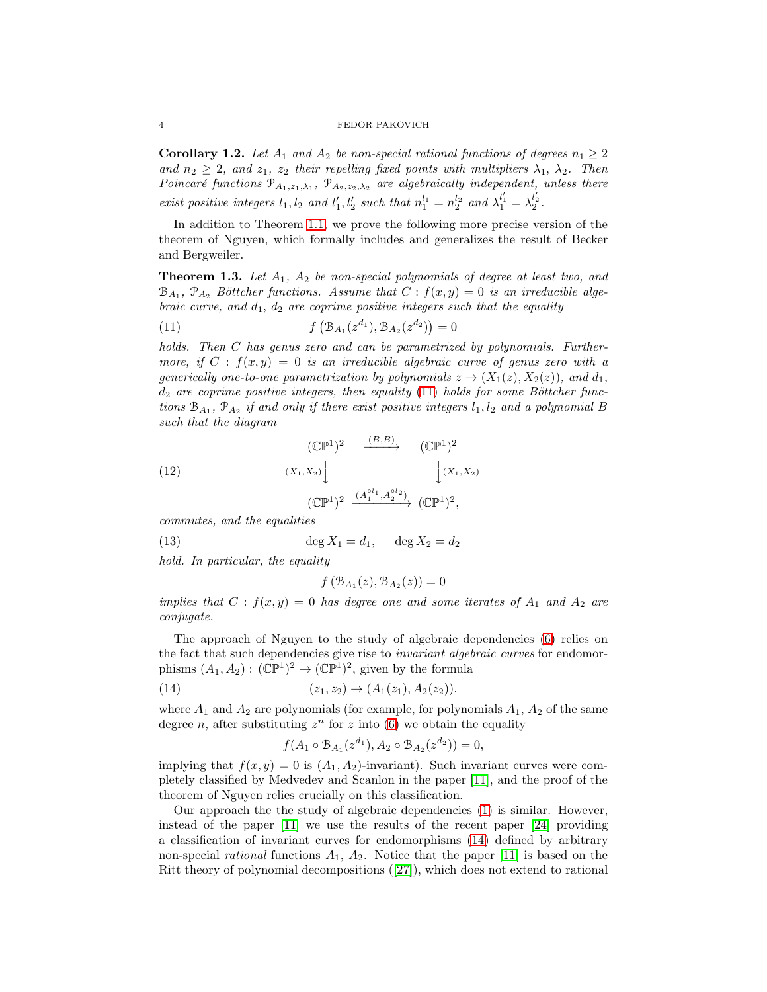<span id="page-3-3"></span>**Corollary 1.2.** Let  $A_1$  and  $A_2$  be non-special rational functions of degrees  $n_1 \geq 2$ and  $n_2 \geq 2$ , and  $z_1$ ,  $z_2$  their repelling fixed points with multipliers  $\lambda_1$ ,  $\lambda_2$ . Then Poincaré functions  $\mathcal{P}_{A_1,z_1,\lambda_1}$ ,  $\mathcal{P}_{A_2,z_2,\lambda_2}$  are algebraically independent, unless there exist positive integers  $l_1, l_2$  and  $l'_1, l'_2$  such that  $n_1^{l_1} = n_2^{l_2}$  and  $\lambda_1^{l'_1} = \lambda_2^{l'_2}$ .

In addition to Theorem [1.1,](#page-2-1) we prove the following more precise version of the theorem of Nguyen, which formally includes and generalizes the result of Becker and Bergweiler.

<span id="page-3-2"></span>**Theorem 1.3.** Let  $A_1$ ,  $A_2$  be non-special polynomials of degree at least two, and  $\mathcal{B}_{A_1}$ ,  $\mathcal{P}_{A_2}$  Böttcher functions. Assume that  $C$ :  $f(x,y) = 0$  is an irreducible algebraic curve, and  $d_1$ ,  $d_2$  are coprime positive integers such that the equality

<span id="page-3-0"></span>(11) 
$$
f\left(\mathcal{B}_{A_1}(z^{d_1}), \mathcal{B}_{A_2}(z^{d_2})\right) = 0
$$

holds. Then C has genus zero and can be parametrized by polynomials. Furthermore, if  $C : f(x, y) = 0$  is an irreducible algebraic curve of genus zero with a generically one-to-one parametrization by polynomials  $z \to (X_1(z), X_2(z))$ , and  $d_1$ ,  $d_2$  are coprime positive integers, then equality [\(11\)](#page-3-0) holds for some Böttcher functions  $\mathcal{B}_{A_1}$ ,  $\mathcal{P}_{A_2}$  if and only if there exist positive integers  $l_1, l_2$  and a polynomial B such that the diagram

<span id="page-3-4"></span>(12) 
$$
\begin{array}{ccc} (\mathbb{CP}^1)^2 & \xrightarrow{(B,B)} & (\mathbb{CP}^1)^2 \\ & & \\ (X_1, X_2) & & \\ & & \\ (\mathbb{CP}^1)^2 & \xrightarrow{(A_1^{\circ l_1}, A_2^{\circ l_2})} (\mathbb{CP}^1)^2, \end{array}
$$

commutes, and the equalities

<span id="page-3-5"></span>(13)  $\deg X_1 = d_1, \quad \deg X_2 = d_2$ 

hold. In particular, the equality

$$
f\left(\mathcal{B}_{A_1}(z), \mathcal{B}_{A_2}(z)\right) = 0
$$

implies that  $C : f(x, y) = 0$  has degree one and some iterates of  $A_1$  and  $A_2$  are conjugate.

The approach of Nguyen to the study of algebraic dependencies [\(6\)](#page-1-2) relies on the fact that such dependencies give rise to *invariant algebraic curves* for endomorphisms  $(A_1, A_2) : (\mathbb{CP}^1)^2 \to (\mathbb{CP}^1)^2$ , given by the formula

<span id="page-3-1"></span>(14) 
$$
(z_1, z_2) \to (A_1(z_1), A_2(z_2)).
$$

where  $A_1$  and  $A_2$  are polynomials (for example, for polynomials  $A_1$ ,  $A_2$  of the same degree *n*, after substituting  $z^n$  for z into [\(6\)](#page-1-2) we obtain the equality

$$
f(A_1 \circ B_{A_1}(z^{d_1}), A_2 \circ B_{A_2}(z^{d_2})) = 0,
$$

implying that  $f(x, y) = 0$  is  $(A_1, A_2)$ -invariant). Such invariant curves were completely classified by Medvedev and Scanlon in the paper [\[11\]](#page-17-7), and the proof of the theorem of Nguyen relies crucially on this classification.

Our approach the the study of algebraic dependencies [\(1\)](#page-0-0) is similar. However, instead of the paper [\[11\]](#page-17-7) we use the results of the recent paper [\[24\]](#page-18-3) providing a classification of invariant curves for endomorphisms [\(14\)](#page-3-1) defined by arbitrary non-special *rational* functions  $A_1$ ,  $A_2$ . Notice that the paper [\[11\]](#page-17-7) is based on the Ritt theory of polynomial decompositions ([\[27\]](#page-18-4)), which does not extend to rational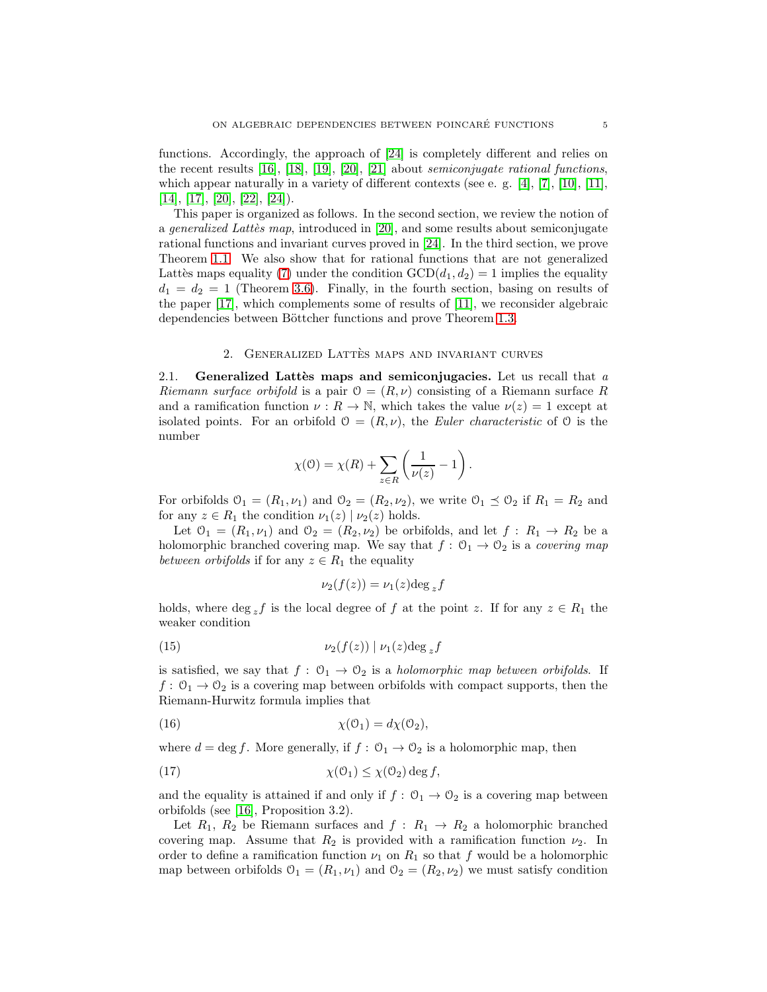functions. Accordingly, the approach of [\[24\]](#page-18-3) is completely different and relies on the recent results  $[16]$ ,  $[18]$ ,  $[19]$ ,  $[20]$ ,  $[21]$  about *semiconjugate rational functions*, which appear naturally in a variety of different contexts (see e. g.  $[4]$ ,  $[7]$ ,  $[10]$ ,  $[11]$ ,  $[14]$ ,  $[17]$ ,  $[20]$ ,  $[22]$ ,  $[24]$ ).

This paper is organized as follows. In the second section, we review the notion of a *generalized Latties map*, introduced in [\[20\]](#page-18-5), and some results about semiconjugate rational functions and invariant curves proved in [\[24\]](#page-18-3). In the third section, we prove Theorem [1.1.](#page-2-1) We also show that for rational functions that are not generalized Lattès maps equality [\(7\)](#page-2-0) under the condition  $GCD(d_1, d_2) = 1$  implies the equality  $d_1 = d_2 = 1$  (Theorem [3.6\)](#page-12-0). Finally, in the fourth section, basing on results of the paper [\[17\]](#page-17-14), which complements some of results of [\[11\]](#page-17-7), we reconsider algebraic dependencies between Böttcher functions and prove Theorem [1.3.](#page-3-2)

# 2. GENERALIZED LATTÈS MAPS AND INVARIANT CURVES

<span id="page-4-3"></span>2.1. Generalized Lattes maps and semiconjugacies. Let us recall that  $a$ Riemann surface orbifold is a pair  $\mathcal{O} = (R, \nu)$  consisting of a Riemann surface R and a ramification function  $\nu : R \to \mathbb{N}$ , which takes the value  $\nu(z) = 1$  except at isolated points. For an orbifold  $\mathcal{O} = (R, \nu)$ , the Euler characteristic of  $\mathcal{O}$  is the number

$$
\chi(\mathbb{O}) = \chi(R) + \sum_{z \in R} \left( \frac{1}{\nu(z)} - 1 \right).
$$

For orbifolds  $\mathcal{O}_1 = (R_1, \nu_1)$  and  $\mathcal{O}_2 = (R_2, \nu_2)$ , we write  $\mathcal{O}_1 \preceq \mathcal{O}_2$  if  $R_1 = R_2$  and for any  $z \in R_1$  the condition  $\nu_1(z) | \nu_2(z)$  holds.

Let  $\mathcal{O}_1 = (R_1, \nu_1)$  and  $\mathcal{O}_2 = (R_2, \nu_2)$  be orbifolds, and let  $f: R_1 \rightarrow R_2$  be a holomorphic branched covering map. We say that  $f: \mathcal{O}_1 \to \mathcal{O}_2$  is a covering map between orbifolds if for any  $z \in R_1$  the equality

$$
\nu_2(f(z)) = \nu_1(z) \deg_z f
$$

holds, where deg zf is the local degree of f at the point z. If for any  $z \in R_1$  the weaker condition

<span id="page-4-0"></span>
$$
(15) \t\nu_2(f(z)) | \nu_1(z) \deg_z f
$$

is satisfied, we say that  $f: \mathcal{O}_1 \to \mathcal{O}_2$  is a holomorphic map between orbifolds. If  $f: \mathcal{O}_1 \to \mathcal{O}_2$  is a covering map between orbifolds with compact supports, then the Riemann-Hurwitz formula implies that

<span id="page-4-1"></span>(16) 
$$
\chi(\mathcal{O}_1) = d\chi(\mathcal{O}_2),
$$

where  $d = \deg f$ . More generally, if  $f: \mathcal{O}_1 \to \mathcal{O}_2$  is a holomorphic map, then

<span id="page-4-2"></span>(17) 
$$
\chi(\mathcal{O}_1) \leq \chi(\mathcal{O}_2) \deg f,
$$

and the equality is attained if and only if  $f: \mathcal{O}_1 \to \mathcal{O}_2$  is a covering map between orbifolds (see [\[16\]](#page-17-8), Proposition 3.2).

Let  $R_1$ ,  $R_2$  be Riemann surfaces and  $f: R_1 \rightarrow R_2$  a holomorphic branched covering map. Assume that  $R_2$  is provided with a ramification function  $\nu_2$ . In order to define a ramification function  $\nu_1$  on  $R_1$  so that f would be a holomorphic map between orbifolds  $\mathcal{O}_1 = (R_1, \nu_1)$  and  $\mathcal{O}_2 = (R_2, \nu_2)$  we must satisfy condition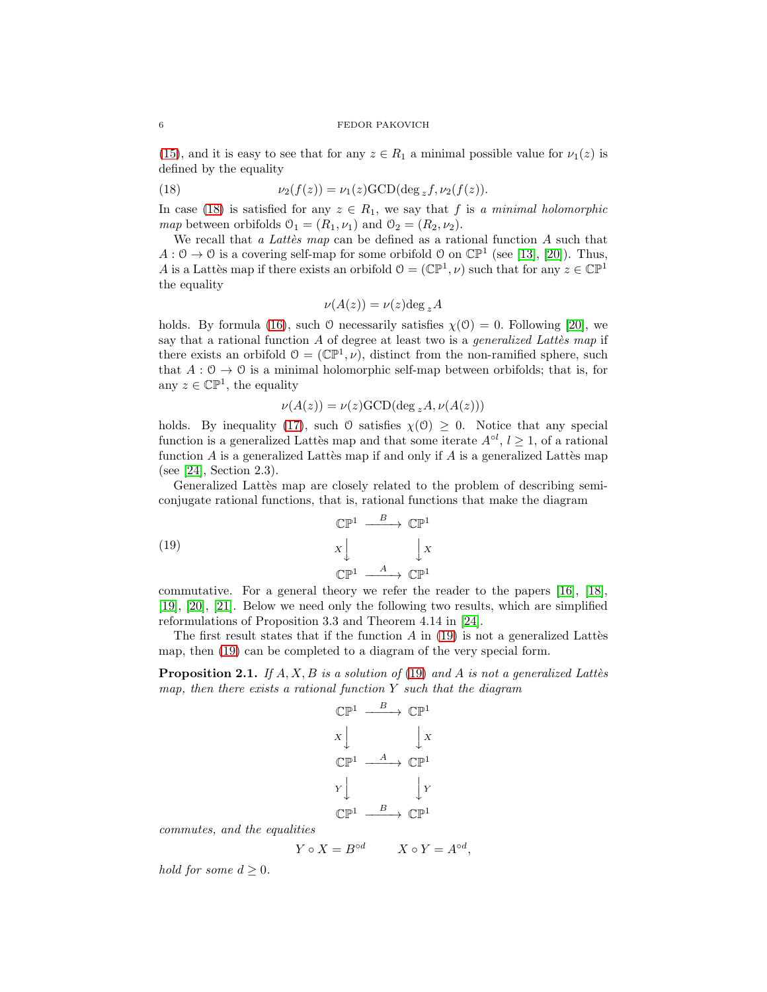[\(15\)](#page-4-0), and it is easy to see that for any  $z \in R_1$  a minimal possible value for  $\nu_1(z)$  is defined by the equality

<span id="page-5-0"></span>(18) 
$$
\nu_2(f(z)) = \nu_1(z) \text{GCD}(\deg_z f, \nu_2(f(z)).
$$

In case [\(18\)](#page-5-0) is satisfied for any  $z \in R_1$ , we say that f is a minimal holomorphic map between orbifolds  $\mathcal{O}_1 = (R_1, \nu_1)$  and  $\mathcal{O}_2 = (R_2, \nu_2)$ .

We recall that a Lattes map can be defined as a rational function  $A$  such that  $A: \mathcal{O} \to \mathcal{O}$  is a covering self-map for some orbifold  $\mathcal{O}$  on  $\mathbb{CP}^1$  (see [\[13\]](#page-17-15), [\[20\]](#page-18-5)). Thus, A is a Lattes map if there exists an orbifold  $\mathcal{O} = (\mathbb{CP}^1, \nu)$  such that for any  $z \in \mathbb{CP}^1$ the equality

$$
\nu(A(z)) = \nu(z) \deg_z A
$$

holds. By formula [\(16\)](#page-4-1), such O necessarily satisfies  $\chi(\mathcal{O}) = 0$ . Following [\[20\]](#page-18-5), we say that a rational function  $A$  of degree at least two is a *generalized Lattes map* if there exists an orbifold  $\mathcal{O} = (\mathbb{CP}^1, \nu)$ , distinct from the non-ramified sphere, such that  $A: \mathcal{O} \to \mathcal{O}$  is a minimal holomorphic self-map between orbifolds; that is, for any  $z \in \mathbb{CP}^1$ , the equality

$$
\nu(A(z)) = \nu(z) \text{GCD}(\text{deg}_z A, \nu(A(z)))
$$

holds. By inequality [\(17\)](#page-4-2), such  $\theta$  satisfies  $\chi(\theta) \geq 0$ . Notice that any special function is a generalized Lattes map and that some iterate  $A^{\circ l}$ ,  $l \geq 1$ , of a rational function  $A$  is a generalized Lattès map if and only if  $A$  is a generalized Lattès map (see [\[24\]](#page-18-3), Section 2.3).

Generalized Lattes map are closely related to the problem of describing semiconjugate rational functions, that is, rational functions that make the diagram

<span id="page-5-1"></span>(19) 
$$
\mathbb{CP}^1 \xrightarrow{B} \mathbb{CP}^1
$$

$$
x \downarrow \qquad \qquad \downarrow x
$$

$$
\mathbb{CP}^1 \xrightarrow{A} \mathbb{CP}^1
$$

commutative. For a general theory we refer the reader to the papers [\[16\]](#page-17-8), [\[18\]](#page-17-9), [\[19\]](#page-17-10), [\[20\]](#page-18-5), [\[21\]](#page-18-6). Below we need only the following two results, which are simplified reformulations of Proposition 3.3 and Theorem 4.14 in [\[24\]](#page-18-3).

The first result states that if the function  $A$  in [\(19\)](#page-5-1) is not a generalized Lattès map, then [\(19\)](#page-5-1) can be completed to a diagram of the very special form.

<span id="page-5-2"></span>**Proposition 2.1.** If  $A, X, B$  is a solution of [\(19\)](#page-5-1) and A is not a generalized Latter map, then there exists a rational function  $Y$  such that the diagram

$$
\begin{array}{ccc}\n\mathbb{CP}^1 & \xrightarrow{B} & \mathbb{CP}^1 \\
X & & \downarrow X \\
\mathbb{CP}^1 & \xrightarrow{A} & \mathbb{CP}^1 \\
Y & & \downarrow Y \\
\mathbb{CP}^1 & \xrightarrow{B} & \mathbb{CP}^1\n\end{array}
$$

commutes, and the equalities

$$
Y \circ X = B^{\circ d} \qquad X \circ Y = A^{\circ d},
$$

hold for some  $d \geq 0$ .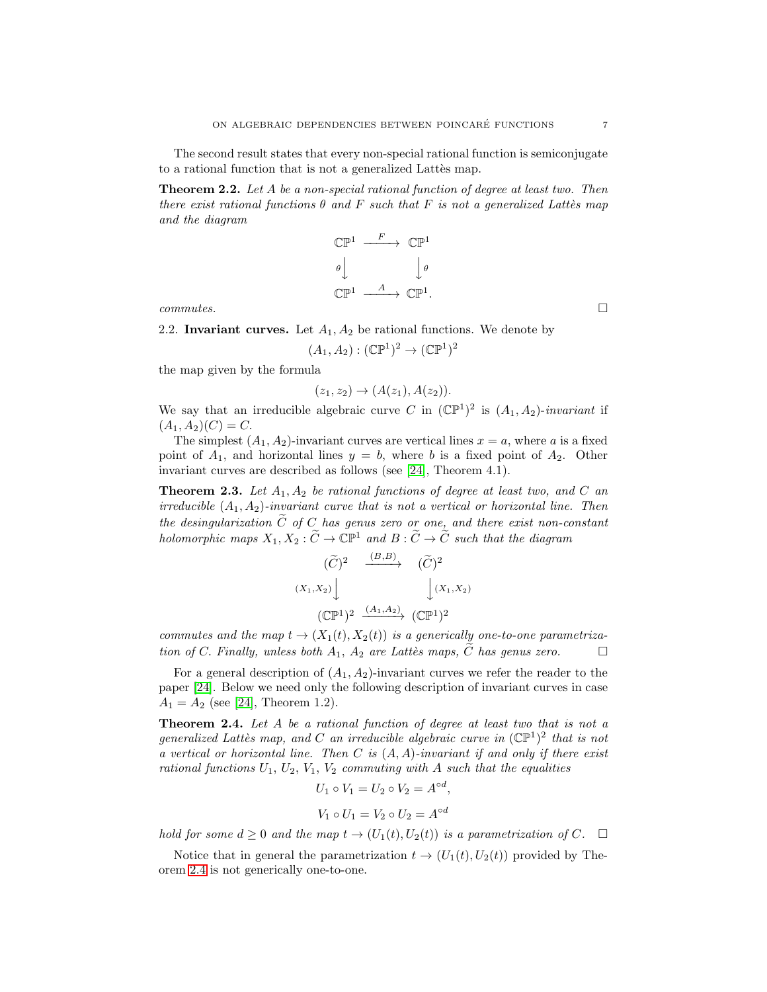The second result states that every non-special rational function is semiconjugate to a rational function that is not a generalized Lattes map.

<span id="page-6-2"></span>Theorem 2.2. Let A be a non-special rational function of degree at least two. Then there exist rational functions  $\theta$  and F such that F is not a generalized Lattes map and the diagram

$$
\begin{array}{ccc}\n\mathbb{CP}^1 & \xrightarrow{F} & \mathbb{CP}^1 \\
\theta & & \downarrow \theta \\
\mathbb{CP}^1 & \xrightarrow{A} & \mathbb{CP}^1.\n\end{array}
$$

 $commutes.$ 

2.2. Invariant curves. Let  $A_1, A_2$  be rational functions. We denote by

$$
(A_1, A_2) : (\mathbb{CP}^1)^2 \to (\mathbb{CP}^1)^2
$$

the map given by the formula

$$
(z_1, z_2) \to (A(z_1), A(z_2)).
$$

We say that an irreducible algebraic curve C in  $(\mathbb{CP}^1)^2$  is  $(A_1, A_2)$ -invariant if  $(A_1, A_2)(C) = C.$ 

The simplest  $(A_1, A_2)$ -invariant curves are vertical lines  $x = a$ , where a is a fixed point of  $A_1$ , and horizontal lines  $y = b$ , where b is a fixed point of  $A_2$ . Other invariant curves are described as follows (see [\[24\]](#page-18-3), Theorem 4.1).

<span id="page-6-1"></span>**Theorem 2.3.** Let  $A_1, A_2$  be rational functions of degree at least two, and C an irreducible  $(A_1, A_2)$ -invariant curve that is not a vertical or horizontal line. Then the desingularization  $\tilde{C}$  of C has genus zero or one, and there exist non-constant holomorphic maps  $X_1, X_2 : \widetilde{C} \to \mathbb{C}\mathbb{P}^1$  and  $B : \widetilde{C} \to \widetilde{C}$  such that the diagram

$$
(\widetilde{C})^2 \xrightarrow{(B,B)} (\widetilde{C})^2
$$
  

$$
(X_1, X_2) \downarrow \qquad \qquad (\widetilde{C})^2
$$
  

$$
(\mathbb{C}\mathbb{P}^1)^2 \xrightarrow{(A_1, A_2)} (\mathbb{C}\mathbb{P}^1)^2
$$

commutes and the map  $t \to (X_1(t), X_2(t))$  is a generically one-to-one parametrization of C. Finally, unless both  $A_1$ ,  $A_2$  are Lattès maps, C has genus zero.  $\Box$ 

For a general description of  $(A_1, A_2)$ -invariant curves we refer the reader to the paper [\[24\]](#page-18-3). Below we need only the following description of invariant curves in case  $A_1 = A_2$  (see [\[24\]](#page-18-3), Theorem 1.2).

<span id="page-6-0"></span>**Theorem 2.4.** Let  $A$  be a rational function of degree at least two that is not a generalized Lattès map, and C an irreducible algebraic curve in  $(\mathbb{CP}^1)^2$  that is not a vertical or horizontal line. Then C is  $(A, A)$ -invariant if and only if there exist rational functions  $U_1, U_2, V_1, V_2$  commuting with A such that the equalities

$$
U_1 \circ V_1 = U_2 \circ V_2 = A^{\circ d},
$$
  

$$
V_1 \circ U_1 = V_2 \circ U_2 = A^{\circ d}
$$

hold for some  $d \geq 0$  and the map  $t \to (U_1(t), U_2(t))$  is a parametrization of C.  $\Box$ 

Notice that in general the parametrization  $t \to (U_1(t), U_2(t))$  provided by Theorem [2.4](#page-6-0) is not generically one-to-one.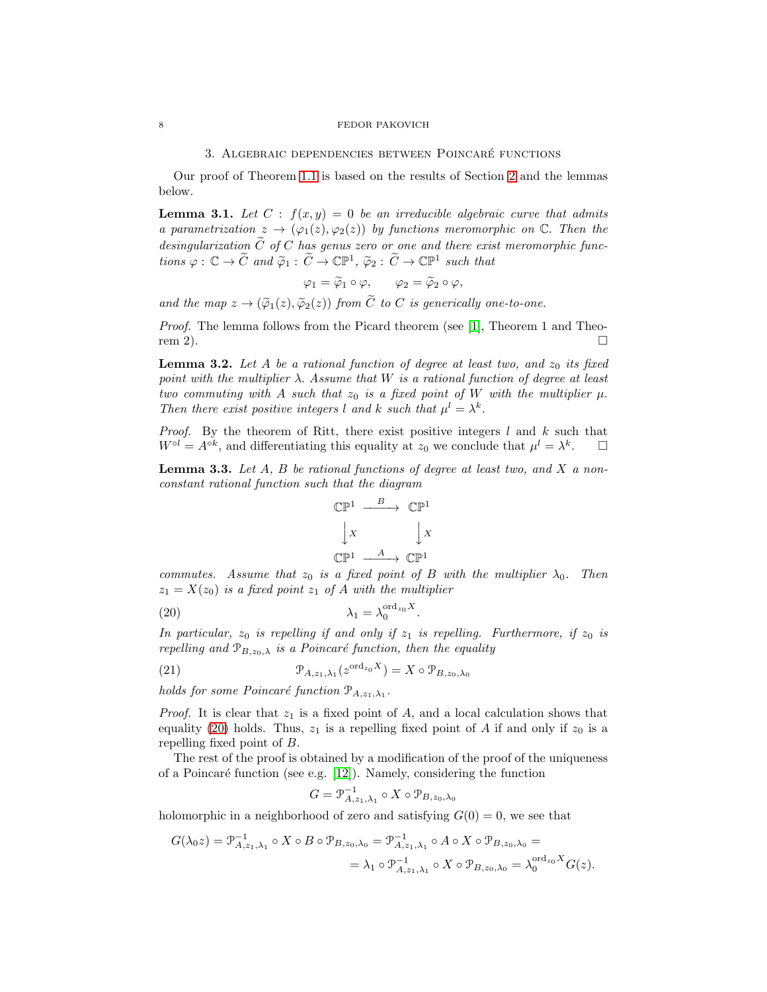# 3. ALGEBRAIC DEPENDENCIES BETWEEN POINCARÉ FUNCTIONS

Our proof of Theorem [1.1](#page-2-1) is based on the results of Section [2](#page-4-3) and the lemmas below.

<span id="page-7-3"></span>**Lemma 3.1.** Let  $C : f(x, y) = 0$  be an irreducible algebraic curve that admits a parametrization  $z \to (\varphi_1(z), \varphi_2(z))$  by functions meromorphic on  $\mathbb C$ . Then the desingularization  $\tilde{C}$  of C has genus zero or one and there exist meromorphic functions  $\varphi : \mathbb{C} \to \widetilde{C}$  and  $\widetilde{\varphi}_1 : \widetilde{C} \to \mathbb{CP}^1$ ,  $\widetilde{\varphi}_2 : \widetilde{C} \to \mathbb{CP}^1$  such that

$$
\varphi_1 = \widetilde{\varphi}_1 \circ \varphi, \qquad \varphi_2 = \widetilde{\varphi}_2 \circ \varphi,
$$

and the map  $z \to (\tilde{\varphi}_1(z), \tilde{\varphi}_2(z))$  from  $\tilde{C}$  to C is generically one-to-one.

Proof. The lemma follows from the Picard theorem (see [\[1\]](#page-17-16), Theorem 1 and Theorem 2).  $\square$ 

<span id="page-7-4"></span>**Lemma 3.2.** Let A be a rational function of degree at least two, and  $z_0$  its fixed point with the multiplier  $\lambda$ . Assume that W is a rational function of degree at least two commuting with A such that  $z_0$  is a fixed point of W with the multiplier  $\mu$ . Then there exist positive integers l and k such that  $\mu^l = \lambda^k$ .

*Proof.* By the theorem of Ritt, there exist positive integers  $l$  and  $k$  such that  $W^{\circ l} = A^{\circ k}$ , and differentiating this equality at  $z_0$  we conclude that  $\mu^l = \lambda^k$ .  $\Box$ 

<span id="page-7-2"></span>**Lemma 3.3.** Let  $A$ ,  $B$  be rational functions of degree at least two, and  $X$  a nonconstant rational function such that the diagram



commutes. Assume that  $z_0$  is a fixed point of B with the multiplier  $\lambda_0$ . Then  $z_1 = X(z_0)$  is a fixed point  $z_1$  of A with the multiplier

<span id="page-7-0"></span>
$$
\lambda_1 = \lambda_0^{\text{ord}_{z_0}X}
$$

In particular,  $z_0$  is repelling if and only if  $z_1$  is repelling. Furthermore, if  $z_0$  is repelling and  $\mathcal{P}_{B,z_0,\lambda}$  is a Poincaré function, then the equality

.

<span id="page-7-1"></span>(21) 
$$
\mathcal{P}_{A,z_1,\lambda_1}(z^{\text{ord}_{z_0}X}) = X \circ \mathcal{P}_{B,z_0,\lambda_0}
$$

holds for some Poincaré function  $\mathcal{P}_{A,z_1,\lambda_1}$ .

*Proof.* It is clear that  $z_1$  is a fixed point of A, and a local calculation shows that equality [\(20\)](#page-7-0) holds. Thus,  $z_1$  is a repelling fixed point of A if and only if  $z_0$  is a repelling fixed point of B.

The rest of the proof is obtained by a modification of the proof of the uniqueness of a Poincaré function (see e.g. [\[12\]](#page-17-0)). Namely, considering the function

$$
G=\mathcal{P}_{A,z_1,\lambda_1}^{-1}\circ X\circ \mathcal{P}_{B,z_0,\lambda_0}
$$

holomorphic in a neighborhood of zero and satisfying  $G(0) = 0$ , we see that

$$
G(\lambda_0 z) = \mathcal{P}_{A,z_1,\lambda_1}^{-1} \circ X \circ B \circ \mathcal{P}_{B,z_0,\lambda_0} = \mathcal{P}_{A,z_1,\lambda_1}^{-1} \circ A \circ X \circ \mathcal{P}_{B,z_0,\lambda_0} =
$$
  
=  $\lambda_1 \circ \mathcal{P}_{A,z_1,\lambda_1}^{-1} \circ X \circ \mathcal{P}_{B,z_0,\lambda_0} = \lambda_0^{\text{ord}_{z_0}X} G(z).$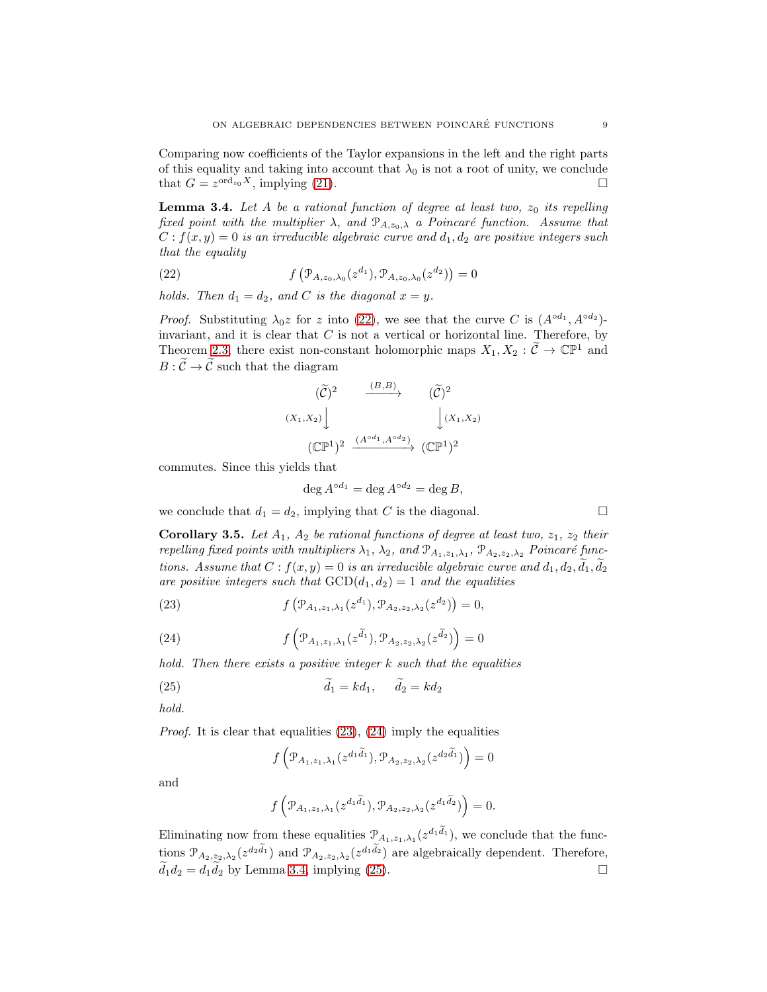Comparing now coefficients of the Taylor expansions in the left and the right parts of this equality and taking into account that  $\lambda_0$  is not a root of unity, we conclude that  $G = z^{\text{ord}_{z_0}X}$ , implying [\(21\)](#page-7-1).

<span id="page-8-3"></span>**Lemma 3.4.** Let A be a rational function of degree at least two,  $z_0$  its repelling fixed point with the multiplier  $\lambda$ , and  $\mathcal{P}_{A,z_0,\lambda}$  a Poincaré function. Assume that  $C: f(x, y) = 0$  is an irreducible algebraic curve and  $d_1, d_2$  are positive integers such that the equality

<span id="page-8-0"></span>(22) 
$$
f\left(\mathcal{P}_{A,z_0,\lambda_0}(z^{d_1}),\mathcal{P}_{A,z_0,\lambda_0}(z^{d_2})\right)=0
$$

holds. Then  $d_1 = d_2$ , and C is the diagonal  $x = y$ .

*Proof.* Substituting  $\lambda_0 z$  for z into [\(22\)](#page-8-0), we see that the curve C is  $(A^{\circ d_1}, A^{\circ d_2})$ invariant, and it is clear that  $C$  is not a vertical or horizontal line. Therefore, by Theorem [2.3,](#page-6-1) there exist non-constant holomorphic maps  $X_1, X_2 : \widetilde{C} \to \mathbb{CP}^1$  and  $B: \widetilde{\mathcal{C}} \to \widetilde{\mathcal{C}}$  such that the diagram

$$
(\widetilde{C})^2 \xrightarrow{(B,B)} (\widetilde{C})^2
$$
  

$$
(X_1, X_2) \downarrow \qquad \qquad (\widetilde{C})^2
$$
  

$$
(\mathbb{C}\mathbb{P}^1)^2 \xrightarrow{(A^{\circ d_1}, A^{\circ d_2})} (\mathbb{C}\mathbb{P}^1)^2
$$

commutes. Since this yields that

$$
\deg A^{\circ d_1} = \deg A^{\circ d_2} = \deg B,
$$

we conclude that  $d_1 = d_2$ , implying that C is the diagonal.

<span id="page-8-5"></span>**Corollary 3.5.** Let  $A_1$ ,  $A_2$  be rational functions of degree at least two,  $z_1$ ,  $z_2$  their repelling fixed points with multipliers  $\lambda_1, \lambda_2,$  and  $\mathcal{P}_{A_1, z_1, \lambda_1}, \mathcal{P}_{A_2, z_2, \lambda_2}$  Poincaré functions. Assume that  $C : f(x, y) = 0$  is an irreducible algebraic curve and  $d_1, d_2, \overline{d_1}, \overline{d_2}$ are positive integers such that  $GCD(d_1, d_2) = 1$  and the equalities

<span id="page-8-1"></span>(23) 
$$
f\left(\mathcal{P}_{A_1,z_1,\lambda_1}(z^{d_1}),\mathcal{P}_{A_2,z_2,\lambda_2}(z^{d_2})\right)=0,
$$

<span id="page-8-2"></span>(24) 
$$
f\left(\mathcal{P}_{A_1,z_1,\lambda_1}(z^{\widetilde{d}_1}),\mathcal{P}_{A_2,z_2,\lambda_2}(z^{\widetilde{d}_2})\right)=0
$$

hold. Then there exists a positive integer k such that the equalities

<span id="page-8-4"></span>(25) 
$$
\widetilde{d}_1 = kd_1, \quad \widetilde{d}_2 = kd_2
$$

hold.

*Proof.* It is clear that equalities  $(23)$ ,  $(24)$  imply the equalities

$$
f\left(\mathcal{P}_{A_1,z_1,\lambda_1}(z^{d_1\widetilde{d}_1}),\mathcal{P}_{A_2,z_2,\lambda_2}(z^{d_2\widetilde{d}_1})\right)=0
$$

and

$$
f\left(\mathcal{P}_{A_1,z_1,\lambda_1}(z^{d_1\widetilde{d}_1}),\mathcal{P}_{A_2,z_2,\lambda_2}(z^{d_1\widetilde{d}_2})\right)=0.
$$

Eliminating now from these equalities  $\mathcal{P}_{A_1,z_1,\lambda_1}(z^{d_1\widetilde{d}_1})$ , we conclude that the functions  $\mathcal{P}_{A_2,z_2,\lambda_2}(z^{d_2\tilde{d}_1})$  and  $\mathcal{P}_{A_2,z_2,\lambda_2}(z^{d_1\tilde{d}_2})$  are algebraically dependent. Therefore,  $d_1d_2 = d_1d_2$  by Lemma [3.4,](#page-8-3) implying [\(25\)](#page-8-4).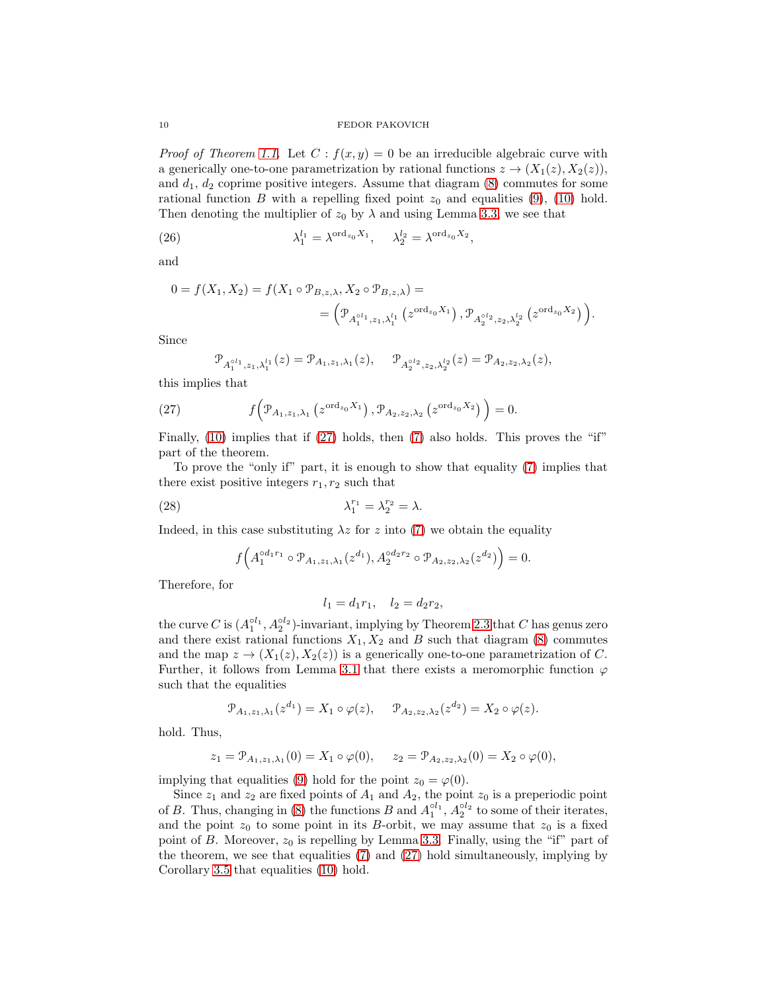*Proof of Theorem [1.1.](#page-2-1)* Let  $C : f(x, y) = 0$  be an irreducible algebraic curve with a generically one-to-one parametrization by rational functions  $z \to (X_1(z), X_2(z)),$ and  $d_1, d_2$  coprime positive integers. Assume that diagram [\(8\)](#page-2-2) commutes for some rational function B with a repelling fixed point  $z_0$  and equalities [\(9\)](#page-2-3), [\(10\)](#page-2-4) hold. Then denoting the multiplier of  $z_0$  by  $\lambda$  and using Lemma [3.3,](#page-7-2) we see that

<span id="page-9-2"></span>(26) 
$$
\lambda_1^{l_1} = \lambda^{\text{ord}_{z_0} X_1}, \quad \lambda_2^{l_2} = \lambda^{\text{ord}_{z_0} X_2},
$$

and

$$
0 = f(X_1, X_2) = f(X_1 \circ \mathcal{P}_{B, z, \lambda}, X_2 \circ \mathcal{P}_{B, z, \lambda}) =
$$
  
=  $\left(\mathcal{P}_{A_1^{\circ l_1}, z_1, \lambda_1^{l_1}}(z^{\text{ord}_{z_0}X_1}), \mathcal{P}_{A_2^{\circ l_2}, z_2, \lambda_2^{l_2}}(z^{\text{ord}_{z_0}X_2})\right).$ 

Since

$$
\mathcal{P}_{A_1^{\circ l_1},z_1,\lambda_1^{l_1}}(z)=\mathcal{P}_{A_1,z_1,\lambda_1}(z),\quad \ \mathcal{P}_{A_2^{\circ l_2},z_2,\lambda_2^{l_2}}(z)=\mathcal{P}_{A_2,z_2,\lambda_2}(z),
$$

this implies that

<span id="page-9-0"></span>(27) 
$$
f\left(\mathcal{P}_{A_1,z_1,\lambda_1}\left(z^{\operatorname{ord}_{z_0}X_1}\right),\mathcal{P}_{A_2,z_2,\lambda_2}\left(z^{\operatorname{ord}_{z_0}X_2}\right)\right)=0.
$$

Finally, [\(10\)](#page-2-4) implies that if [\(27\)](#page-9-0) holds, then [\(7\)](#page-2-0) also holds. This proves the "if" part of the theorem.

To prove the "only if" part, it is enough to show that equality [\(7\)](#page-2-0) implies that there exist positive integers  $r_1, r_2$  such that

<span id="page-9-1"></span>(28) 
$$
\lambda_1^{r_1} = \lambda_2^{r_2} = \lambda.
$$

Indeed, in this case substituting  $\lambda z$  for z into [\(7\)](#page-2-0) we obtain the equality

$$
f\Big(A_1^{\circ d_1r_1}\circ \mathcal{P}_{A_1,z_1,\lambda_1}(z^{d_1}),A_2^{\circ d_2r_2}\circ \mathcal{P}_{A_2,z_2,\lambda_2}(z^{d_2})\Big)=0.
$$

Therefore, for

$$
l_1 = d_1 r_1, \quad l_2 = d_2 r_2,
$$

the curve C is  $(A_1^{\circ l_1}, A_2^{\circ l_2})$ -invariant, implying by Theorem [2.3](#page-6-1) that C has genus zero and there exist rational functions  $X_1, X_2$  and B such that diagram [\(8\)](#page-2-2) commutes and the map  $z \to (X_1(z), X_2(z))$  is a generically one-to-one parametrization of C. Further, it follows from Lemma [3.1](#page-7-3) that there exists a meromorphic function  $\varphi$ such that the equalities

$$
\mathcal{P}_{A_1, z_1, \lambda_1}(z^{d_1}) = X_1 \circ \varphi(z), \quad \mathcal{P}_{A_2, z_2, \lambda_2}(z^{d_2}) = X_2 \circ \varphi(z).
$$

hold. Thus,

$$
z_1 = \mathcal{P}_{A_1, z_1, \lambda_1}(0) = X_1 \circ \varphi(0), \quad z_2 = \mathcal{P}_{A_2, z_2, \lambda_2}(0) = X_2 \circ \varphi(0),
$$

implying that equalities [\(9\)](#page-2-3) hold for the point  $z_0 = \varphi(0)$ .

Since  $z_1$  and  $z_2$  are fixed points of  $A_1$  and  $A_2$ , the point  $z_0$  is a preperiodic point of B. Thus, changing in [\(8\)](#page-2-2) the functions B and  $A_1^{\circ l_1}$ ,  $A_2^{\circ l_2}$  to some of their iterates, and the point  $z_0$  to some point in its B-orbit, we may assume that  $z_0$  is a fixed point of B. Moreover,  $z_0$  is repelling by Lemma [3.3.](#page-7-2) Finally, using the "if" part of the theorem, we see that equalities [\(7\)](#page-2-0) and [\(27\)](#page-9-0) hold simultaneously, implying by Corollary [3.5](#page-8-5) that equalities [\(10\)](#page-2-4) hold.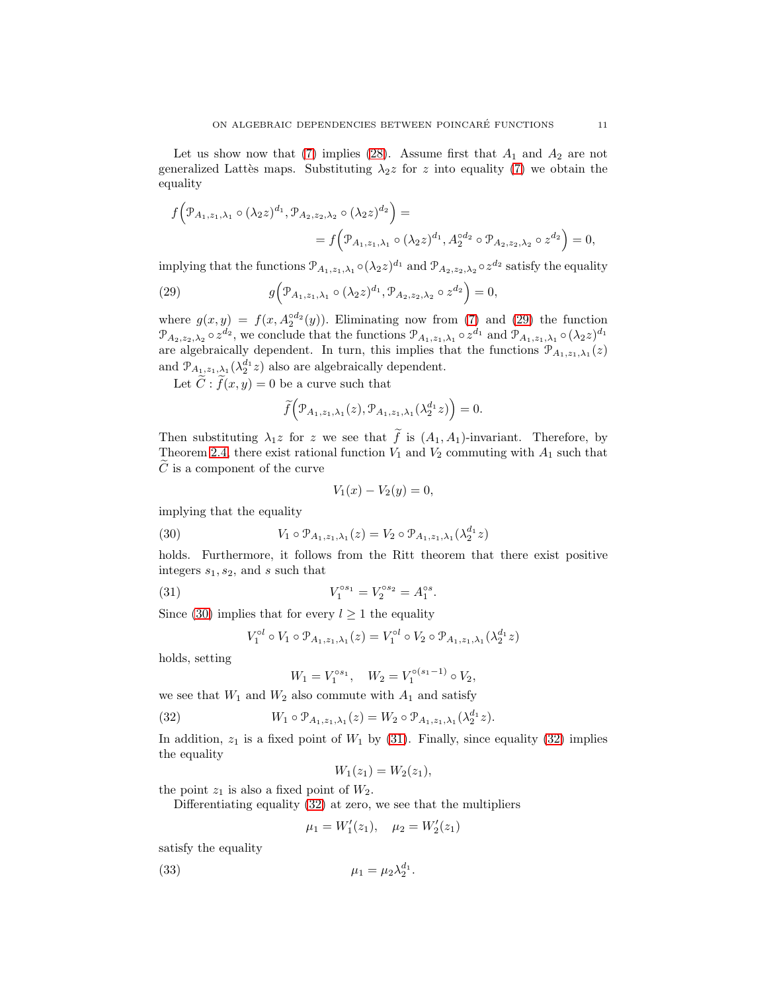Let us show now that [\(7\)](#page-2-0) implies [\(28\)](#page-9-1). Assume first that  $A_1$  and  $A_2$  are not generalized Lattès maps. Substituting  $\lambda_2 z$  for z into equality [\(7\)](#page-2-0) we obtain the equality

$$
f(\mathcal{P}_{A_1,z_1,\lambda_1} \circ (\lambda_2 z)^{d_1}, \mathcal{P}_{A_2,z_2,\lambda_2} \circ (\lambda_2 z)^{d_2}) =
$$
  
=  $f(\mathcal{P}_{A_1,z_1,\lambda_1} \circ (\lambda_2 z)^{d_1}, A_2^{od_2} \circ \mathcal{P}_{A_2,z_2,\lambda_2} \circ z^{d_2}) = 0,$ 

implying that the functions  $\mathcal{P}_{A_1,z_1,\lambda_1} \circ (\lambda_2 z)^{d_1}$  and  $\mathcal{P}_{A_2,z_2,\lambda_2} \circ z^{d_2}$  satisfy the equality

<span id="page-10-0"></span>(29) 
$$
g\Big(\mathcal{P}_{A_1,z_1,\lambda_1}\circ(\lambda_2 z)^{d_1},\mathcal{P}_{A_2,z_2,\lambda_2}\circ z^{d_2}\Big)=0,
$$

where  $g(x, y) = f(x, A_2^{\circ d_2}(y))$ . Eliminating now from [\(7\)](#page-2-0) and [\(29\)](#page-10-0) the function  $\mathcal{P}_{A_2,z_2,\lambda_2} \circ z^{d_2}$ , we conclude that the functions  $\mathcal{P}_{A_1,z_1,\lambda_1} \circ z^{d_1}$  and  $\mathcal{P}_{A_1,z_1,\lambda_1} \circ (\lambda_2 z)^{d_1}$ are algebraically dependent. In turn, this implies that the functions  $\mathcal{P}_{A_1,z_1,\lambda_1}(z)$ and  $\mathcal{P}_{A_1,z_1,\lambda_1}(\lambda_2^{d_1}z)$  also are algebraically dependent.

Let  $\widetilde{C}$ :  $\widetilde{f}(x, y) = 0$  be a curve such that

$$
\widetilde{f}(\mathcal{P}_{A_1,z_1,\lambda_1}(z),\mathcal{P}_{A_1,z_1,\lambda_1}(\lambda_2^{d_1}z))=0.
$$

Then substituting  $\lambda_1 z$  for z we see that  $\tilde{f}$  is  $(A_1, A_1)$ -invariant. Therefore, by Theorem [2.4,](#page-6-0) there exist rational function  $V_1$  and  $V_2$  commuting with  $A_1$  such that  $\tilde{C}$  is a component of the curve

$$
V_1(x) - V_2(y) = 0,
$$

implying that the equality

<span id="page-10-1"></span>(30) 
$$
V_1 \circ \mathcal{P}_{A_1, z_1, \lambda_1}(z) = V_2 \circ \mathcal{P}_{A_1, z_1, \lambda_1}(\lambda_2^{d_1} z)
$$

holds. Furthermore, it follows from the Ritt theorem that there exist positive integers  $s_1, s_2$ , and s such that

<span id="page-10-2"></span>(31) 
$$
V_1^{\circ s_1} = V_2^{\circ s_2} = A_1^{\circ s}.
$$

Since [\(30\)](#page-10-1) implies that for every  $l \geq 1$  the equality

$$
V_1^{\circ l} \circ V_1 \circ \mathcal{P}_{A_1, z_1, \lambda_1}(z) = V_1^{\circ l} \circ V_2 \circ \mathcal{P}_{A_1, z_1, \lambda_1}(\lambda_2^{d_1} z)
$$

holds, setting

$$
W_1 = V_1^{\circ s_1}, \quad W_2 = V_1^{\circ (s_1 - 1)} \circ V_2,
$$

we see that  $W_1$  and  $W_2$  also commute with  ${\cal A}_1$  and satisfy

<span id="page-10-3"></span>(32) 
$$
W_1 \circ \mathcal{P}_{A_1, z_1, \lambda_1}(z) = W_2 \circ \mathcal{P}_{A_1, z_1, \lambda_1}(\lambda_2^{d_1} z).
$$

In addition,  $z_1$  is a fixed point of  $W_1$  by [\(31\)](#page-10-2). Finally, since equality [\(32\)](#page-10-3) implies the equality

$$
W_1(z_1) = W_2(z_1),
$$

the point  $z_1$  is also a fixed point of  $W_2$ .

Differentiating equality [\(32\)](#page-10-3) at zero, we see that the multipliers

$$
\mu_1 = W_1'(z_1), \quad \mu_2 = W_2'(z_1)
$$

satisfy the equality

<span id="page-10-4"></span>(33) 
$$
\mu_1 = \mu_2 \lambda_2^{d_1}.
$$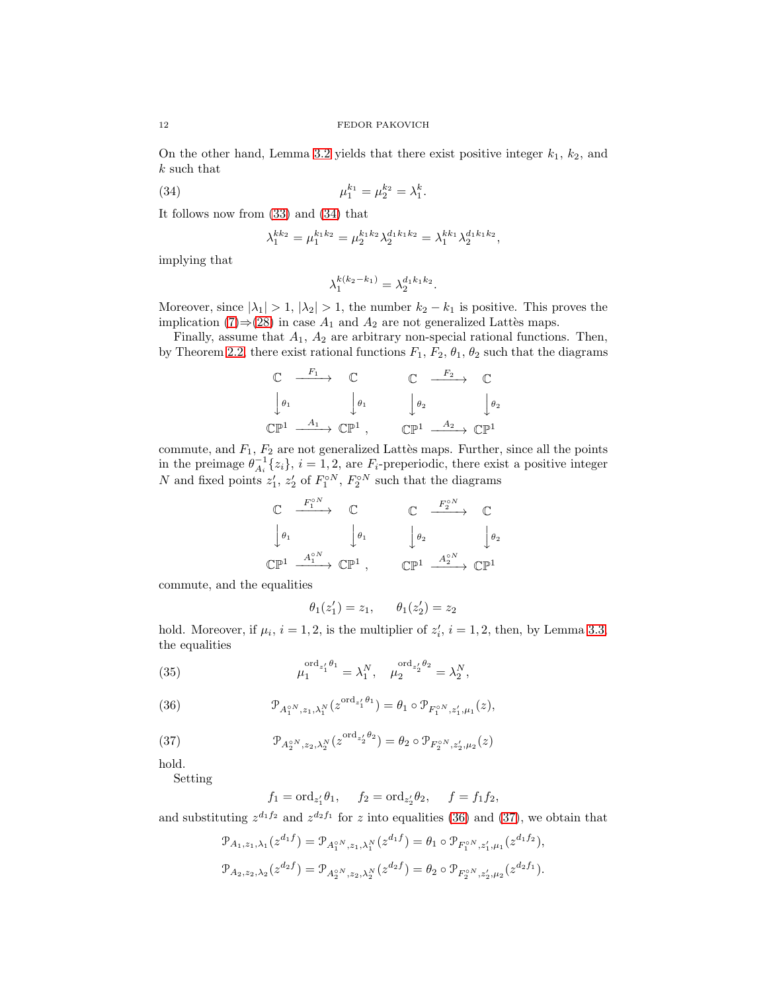On the other hand, Lemma [3.2](#page-7-4) yields that there exist positive integer  $k_1$ ,  $k_2$ , and k such that

<span id="page-11-0"></span>(34) 
$$
\mu_1^{k_1} = \mu_2^{k_2} = \lambda_1^k.
$$

It follows now from [\(33\)](#page-10-4) and [\(34\)](#page-11-0) that

$$
\lambda_1^{kk_2} = \mu_1^{k_1 k_2} = \mu_2^{k_1 k_2} \lambda_2^{d_1 k_1 k_2} = \lambda_1^{k k_1} \lambda_2^{d_1 k_1 k_2},
$$

implying that

$$
\lambda_1^{k(k_2 - k_1)} = \lambda_2^{d_1 k_1 k_2}.
$$

Moreover, since  $|\lambda_1| > 1$ ,  $|\lambda_2| > 1$ , the number  $k_2 - k_1$  is positive. This proves the implication [\(7\)](#page-2-0)⇒[\(28\)](#page-9-1) in case  $A_1$  and  $A_2$  are not generalized Lattès maps.

Finally, assume that  $A_1$ ,  $A_2$  are arbitrary non-special rational functions. Then, by Theorem [2.2,](#page-6-2) there exist rational functions  $F_1, F_2, \theta_1, \theta_2$  such that the diagrams

$$
\begin{array}{ccccccc}\n\mathbb{C} & \xrightarrow{F_1} & \mathbb{C} & & \mathbb{C} & \xrightarrow{F_2} & \mathbb{C} \\
\downarrow \theta_1 & & \downarrow \theta_1 & & \downarrow \theta_2 & & \downarrow \theta_2 \\
\mathbb{C}\mathbb{P}^1 & \xrightarrow{A_1} & \mathbb{C}\mathbb{P}^1 & & & \mathbb{C}\mathbb{P}^1 & \xrightarrow{A_2} & \mathbb{C}\mathbb{P}^1\n\end{array}
$$

commute, and  $F_1, F_2$  are not generalized Lattès maps. Further, since all the points in the preimage  $\theta_{A_i}^{-1}\{z_i\}, i=1,2$ , are  $F_i$ -preperiodic, there exist a positive integer N and fixed points  $z'_1$ ,  $z'_2$  of  $F_1^{\circ N}$ ,  $F_2^{\circ N}$  such that the diagrams

$$
\begin{array}{ccc}\n\mathbb{C} & \xrightarrow{F_1^{oN}} & \mathbb{C} & \xrightarrow{F_2^{oN}} & \mathbb{C} \\
\downarrow \theta_1 & & \downarrow \theta_1 & & \downarrow \theta_2 & & \downarrow \theta_2 \\
\mathbb{C}\mathbb{P}^1 & \xrightarrow{A_1^{oN}} & \mathbb{C}\mathbb{P}^1, & & \mathbb{C}\mathbb{P}^1 & \xrightarrow{A_2^{oN}} & \mathbb{C}\mathbb{P}^1\n\end{array}
$$

commute, and the equalities

 $\theta_1(z_1') = z_1, \quad \theta_1(z_2') = z_2$ 

hold. Moreover, if  $\mu_i$ ,  $i = 1, 2$ , is the multiplier of  $z'_i$ ,  $i = 1, 2$ , then, by Lemma [3.3,](#page-7-2) the equalities

<span id="page-11-3"></span>(35) 
$$
\mu_1^{\text{ord}_{z'_1}\theta_1} = \lambda_1^N, \quad \mu_2^{\text{ord}_{z'_2}\theta_2} = \lambda_2^N,
$$

<span id="page-11-1"></span>(36) 
$$
\mathcal{P}_{A_1^{\circ N}, z_1, \lambda_1^N}(z^{\text{ord}_{z'_1}\theta_1}) = \theta_1 \circ \mathcal{P}_{F_1^{\circ N}, z'_1, \mu_1}(z),
$$

<span id="page-11-2"></span>(37) 
$$
\mathcal{P}_{A_2^{o}N, z_2, \lambda_2^N}(z^{\text{ord}_{z'_2}\theta_2}) = \theta_2 \circ \mathcal{P}_{F_2^{o}N, z'_2, \mu_2}(z)
$$

hold.

Setting

$$
f_1 = \text{ord}_{z'_1} \theta_1, \quad f_2 = \text{ord}_{z'_2} \theta_2, \quad f = f_1 f_2,
$$

and substituting  $z^{d_1f_2}$  and  $z^{d_2f_1}$  for z into equalities [\(36\)](#page-11-1) and [\(37\)](#page-11-2), we obtain that

$$
\mathcal{P}_{A_1,z_1,\lambda_1}(z^{d_1f}) = \mathcal{P}_{A_1^{oN},z_1,\lambda_1^N}(z^{d_1f}) = \theta_1 \circ \mathcal{P}_{F_1^{oN},z_1',\mu_1}(z^{d_1f_2}),
$$
  

$$
\mathcal{P}_{A_2,z_2,\lambda_2}(z^{d_2f}) = \mathcal{P}_{A_2^{oN},z_2,\lambda_2^N}(z^{d_2f}) = \theta_2 \circ \mathcal{P}_{F_2^{oN},z_2',\mu_2}(z^{d_2f_1}).
$$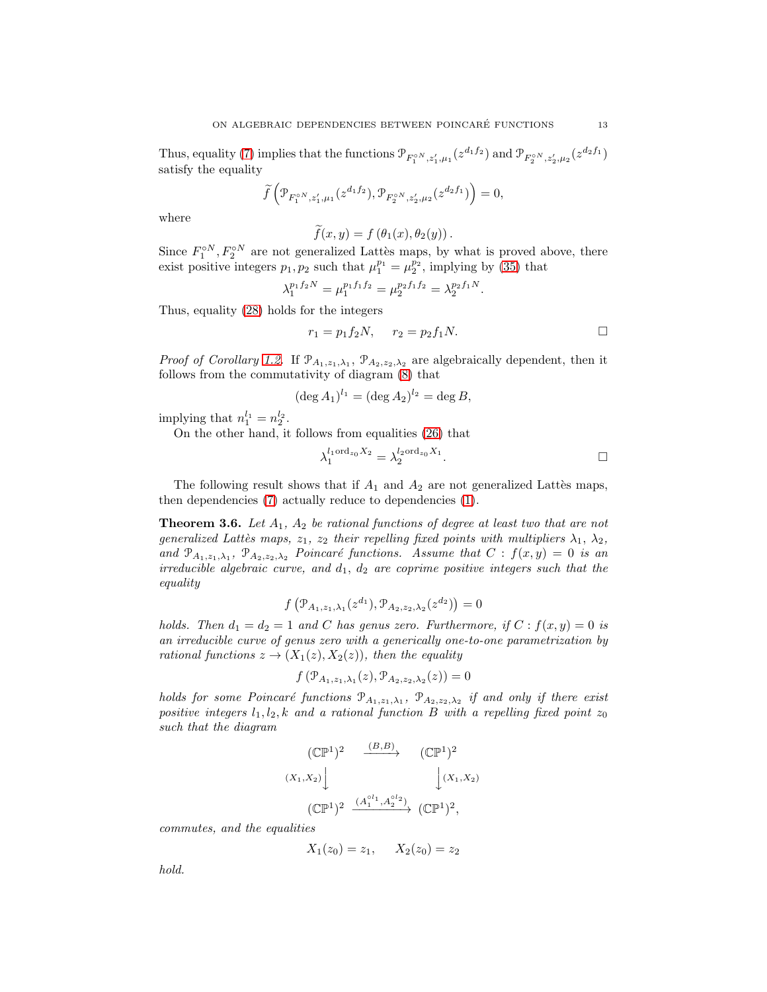Thus, equality [\(7\)](#page-2-0) implies that the functions  $\mathcal{P}_{F_1^{\circ N}, z'_1, \mu_1}(z^{d_1f_2})$  and  $\mathcal{P}_{F_2^{\circ N}, z'_2, \mu_2}(z^{d_2f_1})$ satisfy the equality

$$
\widetilde{f}\left(\mathcal{P}_{F_1^{\circ N},z_1',\mu_1}(z^{d_1f_2}),\mathcal{P}_{F_2^{\circ N},z_2',\mu_2}(z^{d_2f_1})\right)=0,
$$

where

$$
\widetilde{f}(x,y) = f(\theta_1(x), \theta_2(y)).
$$

Since  $F_1^{\circ N}, F_2^{\circ N}$  are not generalized Lattès maps, by what is proved above, there exist positive integers  $p_1, p_2$  such that  $\mu_1^{p_1} = \mu_2^{p_2}$ , implying by [\(35\)](#page-11-3) that

$$
\lambda_1^{p_1 f_2 N} = \mu_1^{p_1 f_1 f_2} = \mu_2^{p_2 f_1 f_2} = \lambda_2^{p_2 f_1 N}.
$$

Thus, equality [\(28\)](#page-9-1) holds for the integers

$$
r_1 = p_1 f_2 N, \t r_2 = p_2 f_1 N.
$$

*Proof of Corollary [1.2.](#page-3-3)* If  $\mathcal{P}_{A_1,z_1,\lambda_1}$ ,  $\mathcal{P}_{A_2,z_2,\lambda_2}$  are algebraically dependent, then it follows from the commutativity of diagram [\(8\)](#page-2-2) that

$$
(\deg A_1)^{l_1} = (\deg A_2)^{l_2} = \deg B,
$$

implying that  $n_1^{l_1} = n_2^{l_2}$ .

On the other hand, it follows from equalities [\(26\)](#page-9-2) that

$$
\lambda_1^{l_1 \text{ord}_{z_0} X_2} = \lambda_2^{l_2 \text{ord}_{z_0} X_1}.
$$

The following result shows that if  $A_1$  and  $A_2$  are not generalized Lattes maps, then dependencies [\(7\)](#page-2-0) actually reduce to dependencies [\(1\)](#page-0-0).

<span id="page-12-0"></span>**Theorem 3.6.** Let  $A_1$ ,  $A_2$  be rational functions of degree at least two that are not generalized Lattès maps,  $z_1$ ,  $z_2$  their repelling fixed points with multipliers  $\lambda_1$ ,  $\lambda_2$ , and  $\mathcal{P}_{A_1,z_1,\lambda_1}$ ,  $\mathcal{P}_{A_2,z_2,\lambda_2}$  Poincaré functions. Assume that  $C : f(x,y) = 0$  is an irreducible algebraic curve, and  $d_1$ ,  $d_2$  are coprime positive integers such that the equality

$$
f(\mathcal{P}_{A_1,z_1,\lambda_1}(z^{d_1}),\mathcal{P}_{A_2,z_2,\lambda_2}(z^{d_2}))=0
$$

holds. Then  $d_1 = d_2 = 1$  and C has genus zero. Furthermore, if  $C : f(x, y) = 0$  is an irreducible curve of genus zero with a generically one-to-one parametrization by rational functions  $z \to (X_1(z), X_2(z))$ , then the equality

$$
f(\mathcal{P}_{A_1,z_1,\lambda_1}(z),\mathcal{P}_{A_2,z_2,\lambda_2}(z)) = 0
$$

holds for some Poincaré functions  $\mathcal{P}_{A_1,z_1,\lambda_1}$ ,  $\mathcal{P}_{A_2,z_2,\lambda_2}$  if and only if there exist positive integers  $l_1, l_2, k$  and a rational function B with a repelling fixed point  $z_0$ such that the diagram

$$
(\mathbb{CP}^1)^2 \xrightarrow{(B,B)} (\mathbb{CP}^1)^2
$$
  

$$
(X_1, X_2) \downarrow \qquad (\mathbb{CP}^1)^2 \xrightarrow{(A_1^{\circ l_1}, A_2^{\circ l_2})} (\mathbb{CP}^1)^2,
$$

commutes, and the equalities

 $X_1(z_0) = z_1, \quad X_2(z_0) = z_2$ 

hold.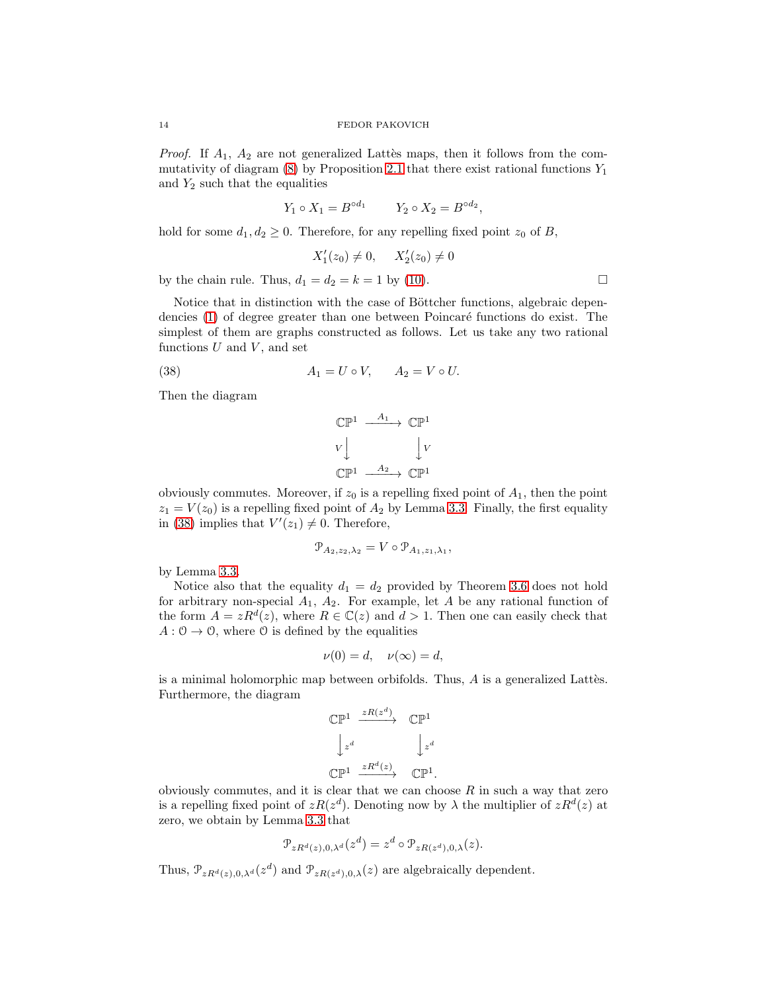*Proof.* If  $A_1$ ,  $A_2$  are not generalized Lattes maps, then it follows from the commutativity of diagram  $(8)$  by Proposition [2.1](#page-5-2) that there exist rational functions  $Y_1$ and  $Y_2$  such that the equalities

$$
Y_1 \circ X_1 = B^{\circ d_1} \qquad Y_2 \circ X_2 = B^{\circ d_2},
$$

hold for some  $d_1, d_2 \geq 0$ . Therefore, for any repelling fixed point  $z_0$  of B,

$$
X_1'(z_0) \neq 0, \quad X_2'(z_0) \neq 0
$$

by the chain rule. Thus,  $d_1 = d_2 = k = 1$  by [\(10\)](#page-2-4).

Notice that in distinction with the case of Böttcher functions, algebraic depen-dencies [\(1\)](#page-0-0) of degree greater than one between Poincaré functions do exist. The simplest of them are graphs constructed as follows. Let us take any two rational functions  $U$  and  $V$ , and set

<span id="page-13-0"></span>
$$
(38) \t\t A1 = U \circ V, \t A2 = V \circ U.
$$

Then the diagram

$$
\begin{array}{ccc}\n\mathbb{CP}^1 & \xrightarrow{A_1} & \mathbb{CP}^1 \\
\downarrow V & & \downarrow V \\
\mathbb{CP}^1 & \xrightarrow{A_2} & \mathbb{CP}^1\n\end{array}
$$

obviously commutes. Moreover, if  $z_0$  is a repelling fixed point of  $A_1$ , then the point  $z_1 = V(z_0)$  is a repelling fixed point of  $A_2$  by Lemma [3.3.](#page-7-2) Finally, the first equality in [\(38\)](#page-13-0) implies that  $V'(z_1) \neq 0$ . Therefore,

$$
\mathcal{P}_{A_2,z_2,\lambda_2} = V \circ \mathcal{P}_{A_1,z_1,\lambda_1},
$$

by Lemma [3.3.](#page-7-2)

Notice also that the equality  $d_1 = d_2$  provided by Theorem [3.6](#page-12-0) does not hold for arbitrary non-special  $A_1$ ,  $A_2$ . For example, let A be any rational function of the form  $A = zR^d(z)$ , where  $R \in \mathbb{C}(z)$  and  $d > 1$ . Then one can easily check that  $A: \mathcal{O} \to \mathcal{O}$ , where  $\mathcal{O}$  is defined by the equalities

$$
\nu(0) = d, \quad \nu(\infty) = d,
$$

is a minimal holomorphic map between orbifolds. Thus,  $A$  is a generalized Lattes. Furthermore, the diagram

$$
\begin{array}{ccc}\n\mathbb{CP}^1 & \xrightarrow{zR(z^d)} & \mathbb{CP}^1 \\
\downarrow z^d & & \downarrow z^d \\
\mathbb{CP}^1 & \xrightarrow{zR^d(z)} & \mathbb{CP}^1.\n\end{array}
$$

obviously commutes, and it is clear that we can choose  $R$  in such a way that zero is a repelling fixed point of  $zR(z^d)$ . Denoting now by  $\lambda$  the multiplier of  $zR^d(z)$  at zero, we obtain by Lemma [3.3](#page-7-2) that

$$
\mathcal{P}_{zR^d(z),0,\lambda^d}(z^d) = z^d \circ \mathcal{P}_{zR(z^d),0,\lambda}(z).
$$

Thus,  $\mathcal{P}_{zR^d(z),0,\lambda^d}(z^d)$  and  $\mathcal{P}_{zR(z^d),0,\lambda}(z)$  are algebraically dependent.

$$
\Box
$$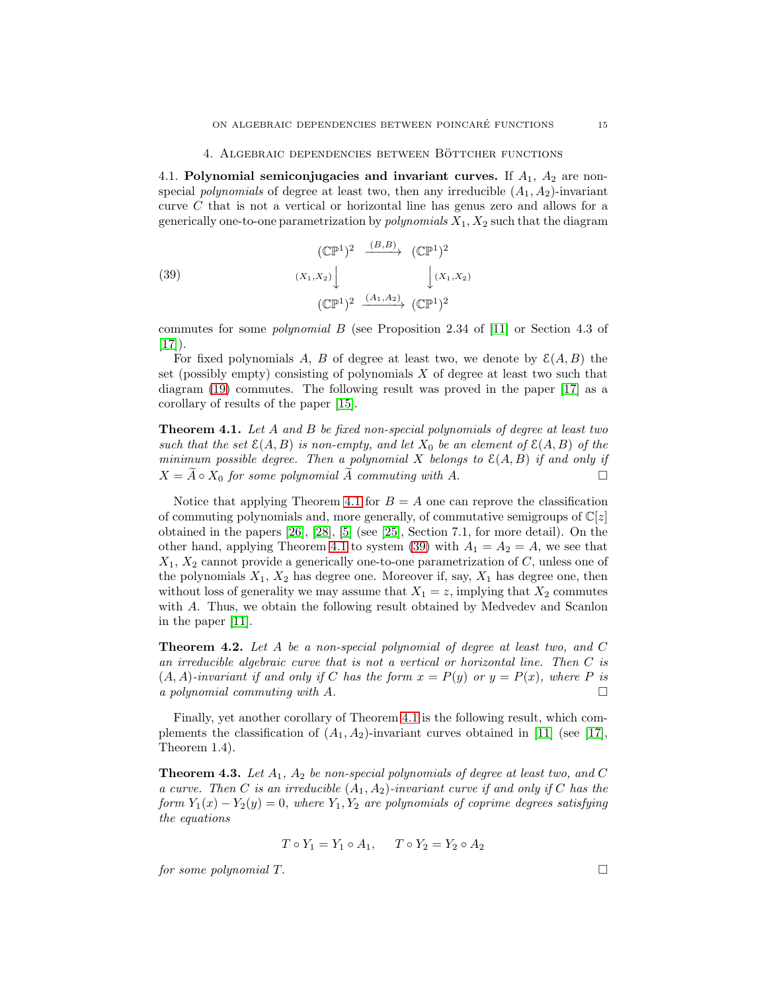4.1. Polynomial semiconjugacies and invariant curves. If  $A_1$ ,  $A_2$  are nonspecial *polynomials* of degree at least two, then any irreducible  $(A_1, A_2)$ -invariant curve C that is not a vertical or horizontal line has genus zero and allows for a generically one-to-one parametrization by *polynomials*  $X_1, X_2$  such that the diagram

<span id="page-14-1"></span>(39) 
$$
(\mathbb{CP}^{1})^{2} \xrightarrow{(B,B)} (\mathbb{CP}^{1})^{2}
$$

$$
(X_{1},X_{2}) \downarrow \qquad \qquad (\mathbb{CP}^{1})^{2} \xrightarrow{(A_{1},A_{2})} (\mathbb{CP}^{1})^{2}
$$

commutes for some polynomial B (see Proposition 2.34 of [\[11\]](#page-17-7) or Section 4.3 of  $[17]$ ).

For fixed polynomials A, B of degree at least two, we denote by  $\mathcal{E}(A, B)$  the set (possibly empty) consisting of polynomials  $X$  of degree at least two such that diagram [\(19\)](#page-5-1) commutes. The following result was proved in the paper [\[17\]](#page-17-14) as a corollary of results of the paper [\[15\]](#page-17-17).

<span id="page-14-0"></span>**Theorem 4.1.** Let A and B be fixed non-special polynomials of degree at least two such that the set  $\mathcal{E}(A, B)$  is non-empty, and let  $X_0$  be an element of  $\mathcal{E}(A, B)$  of the minimum possible degree. Then a polynomial X belongs to  $\mathcal{E}(A, B)$  if and only if  $X = A \circ X_0$  for some polynomial A commuting with A.

Notice that applying Theorem [4.1](#page-14-0) for  $B = A$  one can reprove the classification of commuting polynomials and, more generally, of commutative semigroups of  $\mathbb{C}[z]$ obtained in the papers  $[26]$ ,  $[28]$ ,  $[5]$  (see  $[25]$ , Section 7.1, for more detail). On the other hand, applying Theorem [4.1](#page-14-0) to system [\(39\)](#page-14-1) with  $A_1 = A_2 = A$ , we see that  $X_1, X_2$  cannot provide a generically one-to-one parametrization of C, unless one of the polynomials  $X_1, X_2$  has degree one. Moreover if, say,  $X_1$  has degree one, then without loss of generality we may assume that  $X_1 = z$ , implying that  $X_2$  commutes with A. Thus, we obtain the following result obtained by Medvedev and Scanlon in the paper [\[11\]](#page-17-7).

<span id="page-14-2"></span>**Theorem 4.2.** Let  $A$  be a non-special polynomial of degree at least two, and  $C$ an irreducible algebraic curve that is not a vertical or horizontal line. Then C is  $(A, A)$ -invariant if and only if C has the form  $x = P(y)$  or  $y = P(x)$ , where P is a polynomial commuting with  $A$ .

Finally, yet another corollary of Theorem [4.1](#page-14-0) is the following result, which complements the classification of  $(A_1, A_2)$ -invariant curves obtained in [\[11\]](#page-17-7) (see [\[17\]](#page-17-14), Theorem 1.4).

<span id="page-14-3"></span>**Theorem 4.3.** Let  $A_1$ ,  $A_2$  be non-special polynomials of degree at least two, and C a curve. Then C is an irreducible  $(A_1, A_2)$ -invariant curve if and only if C has the form  $Y_1(x) - Y_2(y) = 0$ , where  $Y_1, Y_2$  are polynomials of coprime degrees satisfying the equations

$$
T \circ Y_1 = Y_1 \circ A_1, \quad T \circ Y_2 = Y_2 \circ A_2
$$

for some polynomial  $T$ .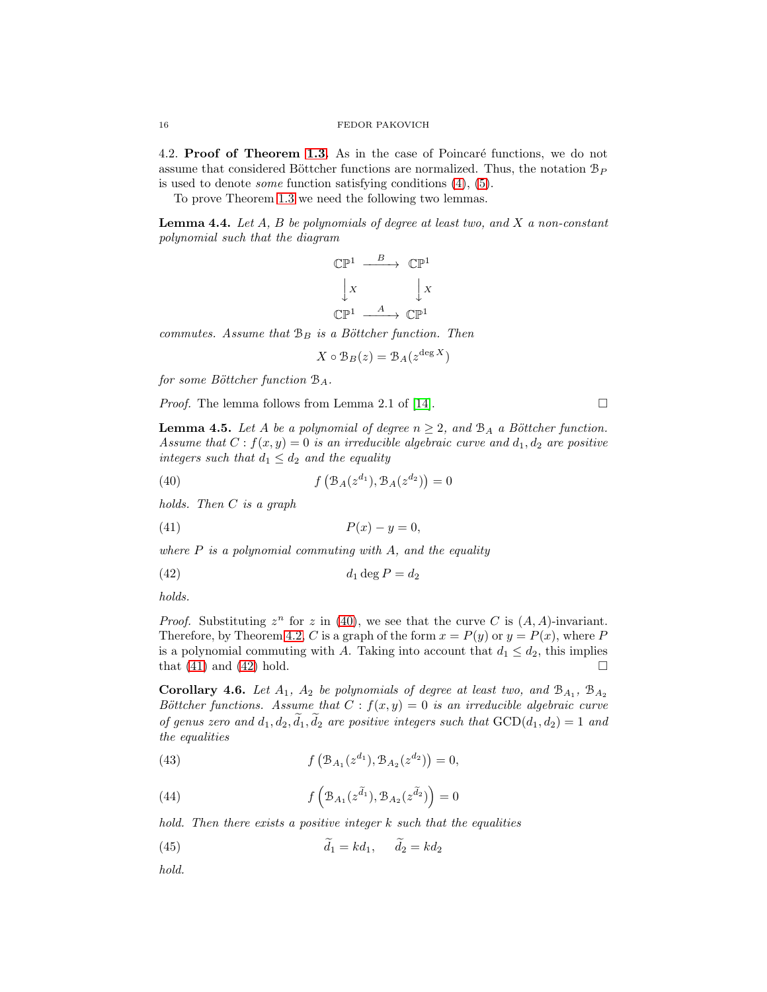4.2. Proof of Theorem [1.3.](#page-3-2) As in the case of Poincaré functions, we do not assume that considered Böttcher functions are normalized. Thus, the notation  $\mathcal{B}_P$ is used to denote some function satisfying conditions [\(4\)](#page-1-3), [\(5\)](#page-1-4).

To prove Theorem [1.3](#page-3-2) we need the following two lemmas.

<span id="page-15-7"></span>**Lemma 4.4.** Let  $A$ ,  $B$  be polynomials of degree at least two, and  $X$  a non-constant polynomial such that the diagram

$$
\begin{array}{ccc}\n\mathbb{CP}^1 & \xrightarrow{B} & \mathbb{CP}^1 \\
\downarrow x & & \downarrow x \\
\mathbb{CP}^1 & \xrightarrow{A} & \mathbb{CP}^1\n\end{array}
$$

commutes. Assume that  $\mathcal{B}_B$  is a Böttcher function. Then

$$
X \circ \mathcal{B}_B(z) = \mathcal{B}_A(z^{\deg X})
$$

for some Böttcher function  $\mathcal{B}_A$ .

*Proof.* The lemma follows from Lemma 2.1 of [\[14\]](#page-17-5).  $\Box$ 

<span id="page-15-5"></span>**Lemma 4.5.** Let A be a polynomial of degree  $n \geq 2$ , and  $\mathcal{B}_A$  a Böttcher function. Assume that  $C : f(x, y) = 0$  is an irreducible algebraic curve and  $d_1, d_2$  are positive integers such that  $d_1 \leq d_2$  and the equality

<span id="page-15-0"></span>(40) 
$$
f\left(\mathcal{B}_A(z^{d_1}), \mathcal{B}_A(z^{d_2})\right) = 0
$$

holds. Then C is a graph

<span id="page-15-1"></span>
$$
(41) \t\t\t P(x) - y = 0,
$$

where  $P$  is a polynomial commuting with  $A$ , and the equality

<span id="page-15-2"></span>
$$
(42) \t\t d_1 \deg P = d_2
$$

holds.

*Proof.* Substituting  $z^n$  for z in [\(40\)](#page-15-0), we see that the curve C is  $(A, A)$ -invariant. Therefore, by Theorem [4.2,](#page-14-2) C is a graph of the form  $x = P(y)$  or  $y = P(x)$ , where P is a polynomial commuting with A. Taking into account that  $d_1 \leq d_2$ , this implies that  $(41)$  and  $(42)$  hold.

<span id="page-15-8"></span>Corollary 4.6. Let  $A_1$ ,  $A_2$  be polynomials of degree at least two, and  $B_{A_1}$ ,  $B_{A_2}$ Böttcher functions. Assume that  $C : f(x,y) = 0$  is an irreducible algebraic curve of genus zero and  $d_1, d_2, d_1, d_2$  are positive integers such that  $GCD(d_1, d_2) = 1$  and the equalities

<span id="page-15-3"></span>(43) 
$$
f\left(\mathcal{B}_{A_1}(z^{d_1}), \mathcal{B}_{A_2}(z^{d_2})\right) = 0,
$$

<span id="page-15-4"></span>(44) 
$$
f\left(\mathcal{B}_{A_1}(z^{\tilde{d}_1}), \mathcal{B}_{A_2}(z^{\tilde{d}_2})\right) = 0
$$

hold. Then there exists a positive integer  $k$  such that the equalities

<span id="page-15-6"></span>
$$
(45) \t\t d_1 = kd_1, \t d_2 = kd_2
$$

hold.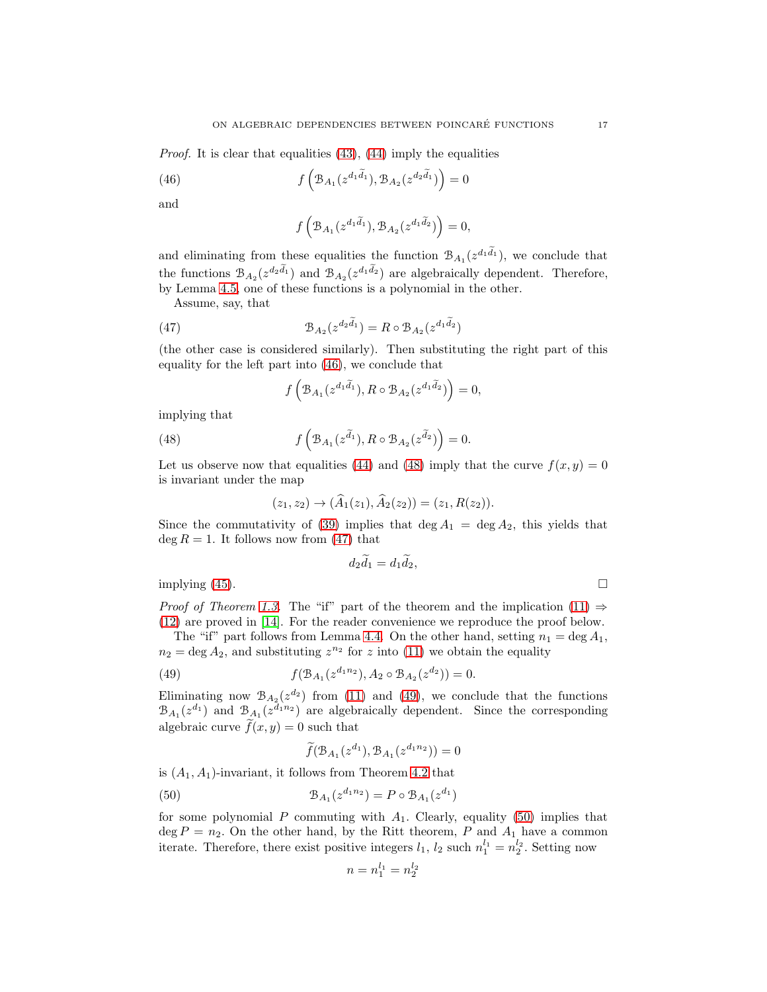Proof. It is clear that equalities [\(43\)](#page-15-3), [\(44\)](#page-15-4) imply the equalities

<span id="page-16-0"></span>(46) 
$$
f\left(\mathcal{B}_{A_1}(z^{d_1\tilde{d}_1}), \mathcal{B}_{A_2}(z^{d_2\tilde{d}_1})\right) = 0
$$

and

$$
f\left(\mathcal{B}_{A_1}(z^{d_1\widetilde{d}_1}),\mathcal{B}_{A_2}(z^{d_1\widetilde{d}_2})\right)=0,
$$

and eliminating from these equalities the function  $\mathcal{B}_{A_1}(z^{d_1\tilde{d}_1})$ , we conclude that the functions  $\mathcal{B}_{A_2}(z^{d_2\tilde{d}_1})$  and  $\mathcal{B}_{A_2}(z^{d_1\tilde{d}_2})$  are algebraically dependent. Therefore, by Lemma [4.5,](#page-15-5) one of these functions is a polynomial in the other.

Assume, say, that

<span id="page-16-2"></span>(47) 
$$
\mathcal{B}_{A_2}(z^{d_2\widetilde{d}_1}) = R \circ \mathcal{B}_{A_2}(z^{d_1\widetilde{d}_2})
$$

(the other case is considered similarly). Then substituting the right part of this equality for the left part into [\(46\)](#page-16-0), we conclude that

$$
f\left(\mathcal{B}_{A_1}(z^{d_1\widetilde{d}_1}),R\circ\mathcal{B}_{A_2}(z^{d_1\widetilde{d}_2})\right)=0,
$$

implying that

<span id="page-16-1"></span>(48) 
$$
f\left(\mathcal{B}_{A_1}(z^{\tilde{d}_1}), R \circ \mathcal{B}_{A_2}(z^{\tilde{d}_2})\right) = 0.
$$

Let us observe now that equalities [\(44\)](#page-15-4) and [\(48\)](#page-16-1) imply that the curve  $f(x, y) = 0$ is invariant under the map

$$
(z_1, z_2) \to (\widehat{A}_1(z_1), \widehat{A}_2(z_2)) = (z_1, R(z_2)).
$$

Since the commutativity of [\(39\)](#page-14-1) implies that deg  $A_1 = \deg A_2$ , this yields that  $\deg R = 1$ . It follows now from [\(47\)](#page-16-2) that

$$
d_2\widetilde{d}_1=d_1\widetilde{d}_2,
$$

implying  $(45)$ .

*Proof of Theorem [1.3.](#page-3-2)* The "if" part of the theorem and the implication [\(11\)](#page-3-0)  $\Rightarrow$ [\(12\)](#page-3-4) are proved in [\[14\]](#page-17-5). For the reader convenience we reproduce the proof below.

The "if" part follows from Lemma [4.4.](#page-15-7) On the other hand, setting  $n_1 = \deg A_1$ ,  $n_2 = \text{deg } A_2$ , and substituting  $z^{n_2}$  for z into [\(11\)](#page-3-0) we obtain the equality

<span id="page-16-3"></span>(49) 
$$
f(\mathcal{B}_{A_1}(z^{d_1n_2}), A_2 \circ \mathcal{B}_{A_2}(z^{d_2})) = 0.
$$

Eliminating now  $\mathcal{B}_{A_2}(z^{d_2})$  from [\(11\)](#page-3-0) and [\(49\)](#page-16-3), we conclude that the functions  $\mathcal{B}_{A_1}(z^{d_1})$  and  $\mathcal{B}_{A_1}(z^{d_1n_2})$  are algebraically dependent. Since the corresponding algebraic curve  $f(x, y) = 0$  such that

$$
\widetilde{f}(\mathcal{B}_{A_1}(z^{d_1}), \mathcal{B}_{A_1}(z^{d_1 n_2})) = 0
$$

is  $(A_1, A_1)$ -invariant, it follows from Theorem [4.2](#page-14-2) that

<span id="page-16-4"></span>(50) 
$$
\mathcal{B}_{A_1}(z^{d_1 n_2}) = P \circ \mathcal{B}_{A_1}(z^{d_1})
$$

for some polynomial P commuting with  $A_1$ . Clearly, equality [\(50\)](#page-16-4) implies that  $\deg P = n_2$ . On the other hand, by the Ritt theorem, P and  $A_1$  have a common iterate. Therefore, there exist positive integers  $l_1$ ,  $l_2$  such  $n_1^{l_1} = n_2^{l_2}$ . Setting now

$$
n=n_1^{l_1}=n_2^{l_2}\,
$$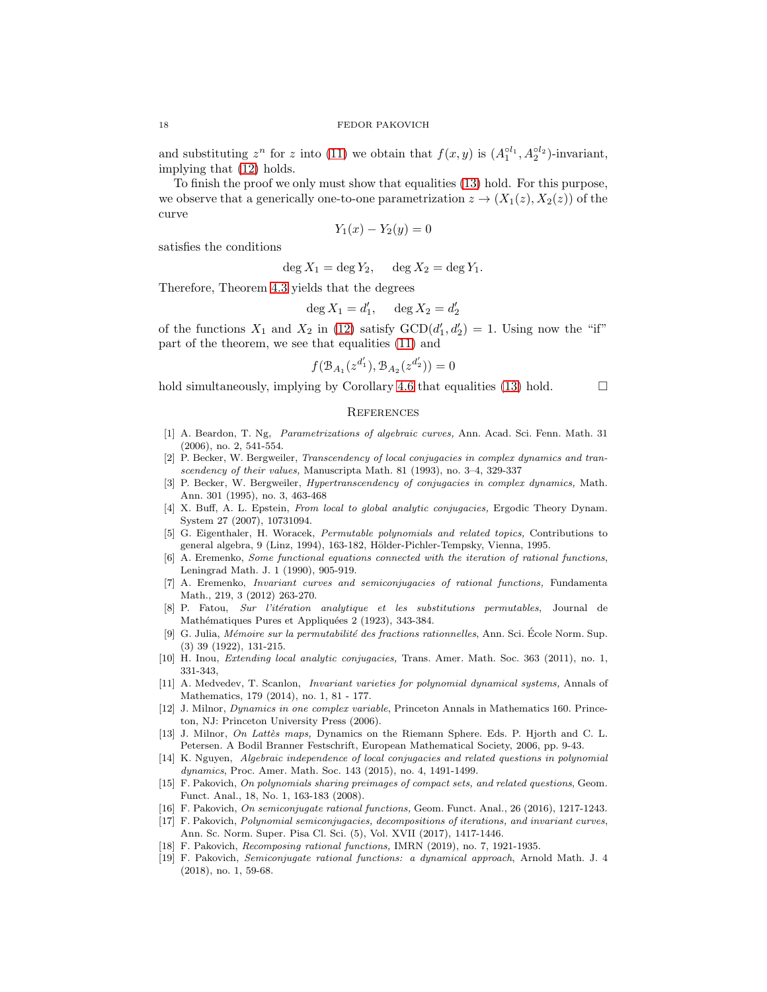and substituting  $z^n$  for z into [\(11\)](#page-3-0) we obtain that  $f(x, y)$  is  $(A_1^{ol_1}, A_2^{ol_2})$ -invariant, implying that [\(12\)](#page-3-4) holds.

To finish the proof we only must show that equalities [\(13\)](#page-3-5) hold. For this purpose, we observe that a generically one-to-one parametrization  $z \to (X_1(z), X_2(z))$  of the curve

$$
Y_1(x) - Y_2(y) = 0
$$

satisfies the conditions

$$
\deg X_1 = \deg Y_2, \quad \deg X_2 = \deg Y_1.
$$

Therefore, Theorem [4.3](#page-14-3) yields that the degrees

$$
\deg X_1 = d'_1, \quad \deg X_2 = d'_2
$$

of the functions  $X_1$  and  $X_2$  in [\(12\)](#page-3-4) satisfy  $GCD(d'_1, d'_2) = 1$ . Using now the "if" part of the theorem, we see that equalities [\(11\)](#page-3-0) and

$$
f(\mathcal{B}_{A_1}(z^{d'_1}), \mathcal{B}_{A_2}(z^{d'_2})) = 0
$$

hold simultaneously, implying by Corollary [4.6](#page-15-8) that equalities [\(13\)](#page-3-5) hold.  $\Box$ 

# **REFERENCES**

- <span id="page-17-16"></span>[1] A. Beardon, T. Ng, Parametrizations of algebraic curves, Ann. Acad. Sci. Fenn. Math. 31 (2006), no. 2, 541-554.
- <span id="page-17-4"></span>[2] P. Becker, W. Bergweiler, Transcendency of local conjugacies in complex dynamics and transcendency of their values, Manuscripta Math. 81 (1993), no. 3–4, 329-337
- <span id="page-17-6"></span>[3] P. Becker, W. Bergweiler, Hypertranscendency of conjugacies in complex dynamics, Math. Ann. 301 (1995), no. 3, 463-468
- <span id="page-17-11"></span>[4] X. Buff, A. L. Epstein, From local to global analytic conjugacies, Ergodic Theory Dynam. System 27 (2007), 10731094.
- <span id="page-17-18"></span>[5] G. Eigenthaler, H. Woracek, Permutable polynomials and related topics, Contributions to general algebra, 9 (Linz, 1994), 163-182, Hölder-Pichler-Tempsky, Vienna, 1995.
- <span id="page-17-1"></span>[6] A. Eremenko, Some functional equations connected with the iteration of rational functions, Leningrad Math. J. 1 (1990), 905-919.
- <span id="page-17-12"></span>[7] A. Eremenko, Invariant curves and semiconjugacies of rational functions, Fundamenta Math., 219, 3 (2012) 263-270.
- <span id="page-17-2"></span>[8] P. Fatou, Sur l'itération analytique et les substitutions permutables, Journal de Mathématiques Pures et Appliquées 2 (1923), 343-384.
- <span id="page-17-3"></span>[9] G. Julia, Mémoire sur la permutabilité des fractions rationnelles, Ann. Sci. École Norm. Sup. (3) 39 (1922), 131-215.
- <span id="page-17-13"></span>[10] H. Inou, *Extending local analytic conjugacies*, Trans. Amer. Math. Soc. 363 (2011), no. 1, 331-343,
- <span id="page-17-7"></span>[11] A. Medvedev, T. Scanlon, Invariant varieties for polynomial dynamical systems, Annals of Mathematics, 179 (2014), no. 1, 81 - 177.
- <span id="page-17-0"></span>[12] J. Milnor, Dynamics in one complex variable, Princeton Annals in Mathematics 160. Princeton, NJ: Princeton University Press (2006).
- <span id="page-17-15"></span>[13] J. Milnor, On Lattes maps, Dynamics on the Riemann Sphere. Eds. P. Hjorth and C. L. Petersen. A Bodil Branner Festschrift, European Mathematical Society, 2006, pp. 9-43.
- <span id="page-17-5"></span>[14] K. Nguyen, Algebraic independence of local conjugacies and related questions in polynomial dynamics, Proc. Amer. Math. Soc. 143 (2015), no. 4, 1491-1499.
- <span id="page-17-17"></span>[15] F. Pakovich, On polynomials sharing preimages of compact sets, and related questions, Geom. Funct. Anal., 18, No. 1, 163-183 (2008).
- <span id="page-17-14"></span><span id="page-17-8"></span>[16] F. Pakovich, On semiconjugate rational functions, Geom. Funct. Anal., 26 (2016), 1217-1243.
- [17] F. Pakovich, Polynomial semiconjugacies, decompositions of iterations, and invariant curves, Ann. Sc. Norm. Super. Pisa Cl. Sci. (5), Vol. XVII (2017), 1417-1446.
- <span id="page-17-10"></span><span id="page-17-9"></span>[18] F. Pakovich, Recomposing rational functions, IMRN (2019), no. 7, 1921-1935.
- [19] F. Pakovich, Semiconjugate rational functions: a dynamical approach, Arnold Math. J. 4 (2018), no. 1, 59-68.